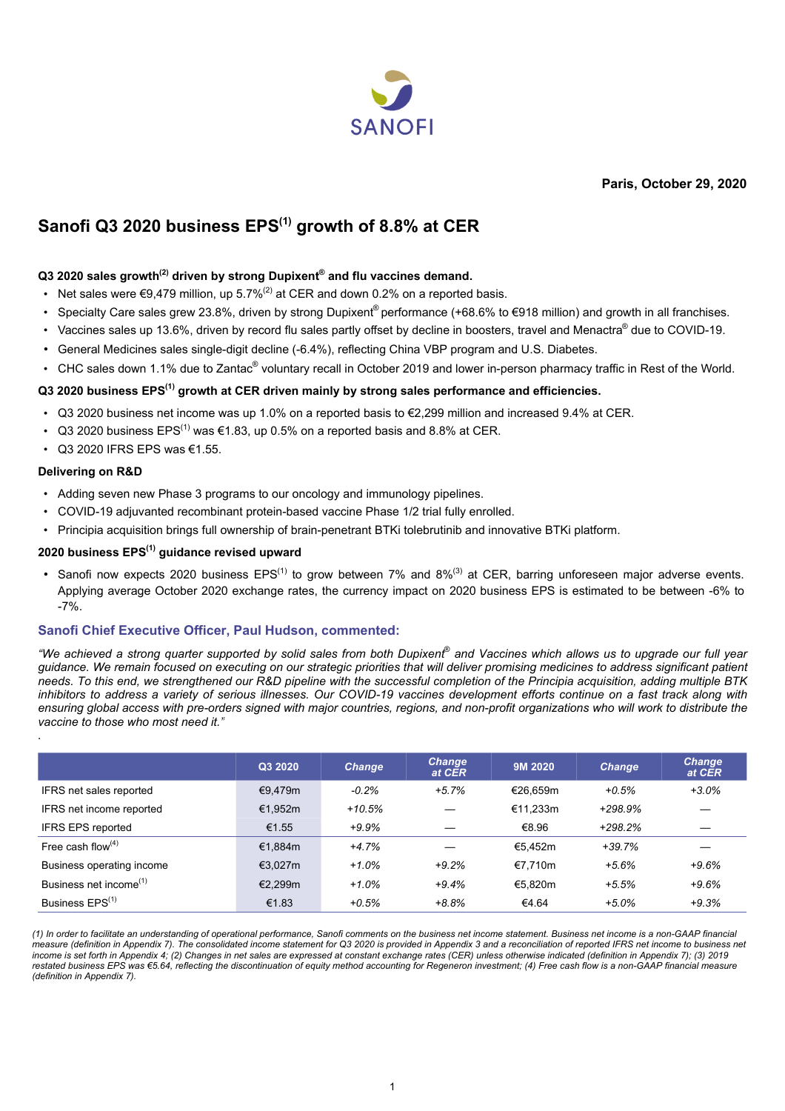

**Paris, October 29, 2020**

# **Sanofi Q3 2020 business EPS(1) growth of 8.8% at CER**

#### **Q3 2020 sales growth(2) driven by strong Dupixent® and flu vaccines demand.**

- Net sales were  $\epsilon$ 9.479 million, up 5.7%<sup>(2)</sup> at CER and down 0.2% on a reported basis.
- Specialty Care sales grew 23.8%, driven by strong Dupixent<sup>®</sup> performance (+68.6% to €918 million) and growth in all franchises.
- Vaccines sales up 13.6%, driven by record flu sales partly offset by decline in boosters, travel and Menactra® due to COVID-19.
- General Medicines sales single-digit decline (-6.4%), reflecting China VBP program and U.S. Diabetes.
- CHC sales down 1.1% due to Zantac® voluntary recall in October 2019 and lower in-person pharmacy traffic in Rest of the World.

#### **Q3 2020 business EPS(1) growth at CER driven mainly by strong sales performance and efficiencies.**

- Q3 2020 business net income was up 1.0% on a reported basis to €2,299 million and increased 9.4% at CER.
- Q3 2020 business  $EPS^{(1)}$  was  $\epsilon$ 1.83, up 0.5% on a reported basis and 8.8% at CER.
- Q3 2020 IFRS EPS was €1.55.

#### **Delivering on R&D**

*.*

- Adding seven new Phase 3 programs to our oncology and immunology pipelines.
- COVID-19 adjuvanted recombinant protein-based vaccine Phase 1/2 trial fully enrolled.
- Principia acquisition brings full ownership of brain-penetrant BTKi tolebrutinib and innovative BTKi platform.

#### **2020 business EPS(1) guidance revised upward**

• Sanofi now expects 2020 business  $EPS^{(1)}$  to grow between 7% and  $8\%^{(3)}$  at CER, barring unforeseen major adverse events. Applying average October 2020 exchange rates, the currency impact on 2020 business EPS is estimated to be between -6% to -7%.

#### **Sanofi Chief Executive Officer, Paul Hudson, commented:**

*"We achieved a strong quarter supported by solid sales from both Dupixent*®  *and Vaccines which allows us to upgrade our full year guidance. We remain focused on executing on our strategic priorities that will deliver promising medicines to address significant patient needs. To this end, we strengthened our R&D pipeline with the successful completion of the Principia acquisition, adding multiple BTK inhibitors to address a variety of serious illnesses. Our COVID-19 vaccines development efforts continue on a fast track along with ensuring global access with pre-orders signed with major countries, regions, and non-profit organizations who will work to distribute the vaccine to those who most need it."*

|                                    | Q3 2020    | <b>Change</b> | <b>Change</b><br>at CER | 9M 2020  | <b>Change</b> | <b>Change</b><br>at CER |
|------------------------------------|------------|---------------|-------------------------|----------|---------------|-------------------------|
| IFRS net sales reported            | €9.479m    | $-0.2%$       | $+5.7%$                 | €26.659m | $+0.5%$       | $+3.0%$                 |
| IFRS net income reported           | €1,952m    | $+10.5%$      |                         | €11.233m | +298.9%       |                         |
| <b>IFRS EPS reported</b>           | €1.55      | $+9.9\%$      |                         | €8.96    | +298.2%       |                         |
| Free cash flow $(4)$               | €1.884m    | $+4.7%$       |                         | €5.452m  | +39.7%        |                         |
| Business operating income          | €3.027 $m$ | $+1.0%$       | $+9.2%$                 | €7.710m  | $+5.6%$       | $+9.6%$                 |
| Business net income <sup>(1)</sup> | €2.299m    | $+1.0%$       | $+9.4%$                 | €5.820m  | $+5.5%$       | $+9.6%$                 |
| Business EPS <sup>(1)</sup>        | €1.83      | $+0.5%$       | $+8.8%$                 | €4.64    | $+5.0%$       | $+9.3%$                 |

*(1) In order to facilitate an understanding of operational performance, Sanofi comments on the business net income statement. Business net income is a non-GAAP financial measure (definition in Appendix 7). The consolidated income statement for Q3 2020 is provided in Appendix 3 and a reconciliation of reported IFRS net income to business net income is set forth in Appendix 4; (2) Changes in net sales are expressed at constant exchange rates (CER) unless otherwise indicated (definition in Appendix 7); (3) 2019 restated business EPS was €5.64, reflecting the discontinuation of equity method accounting for Regeneron investment; (4) Free cash flow is a non-GAAP financial measure (definition in Appendix 7).*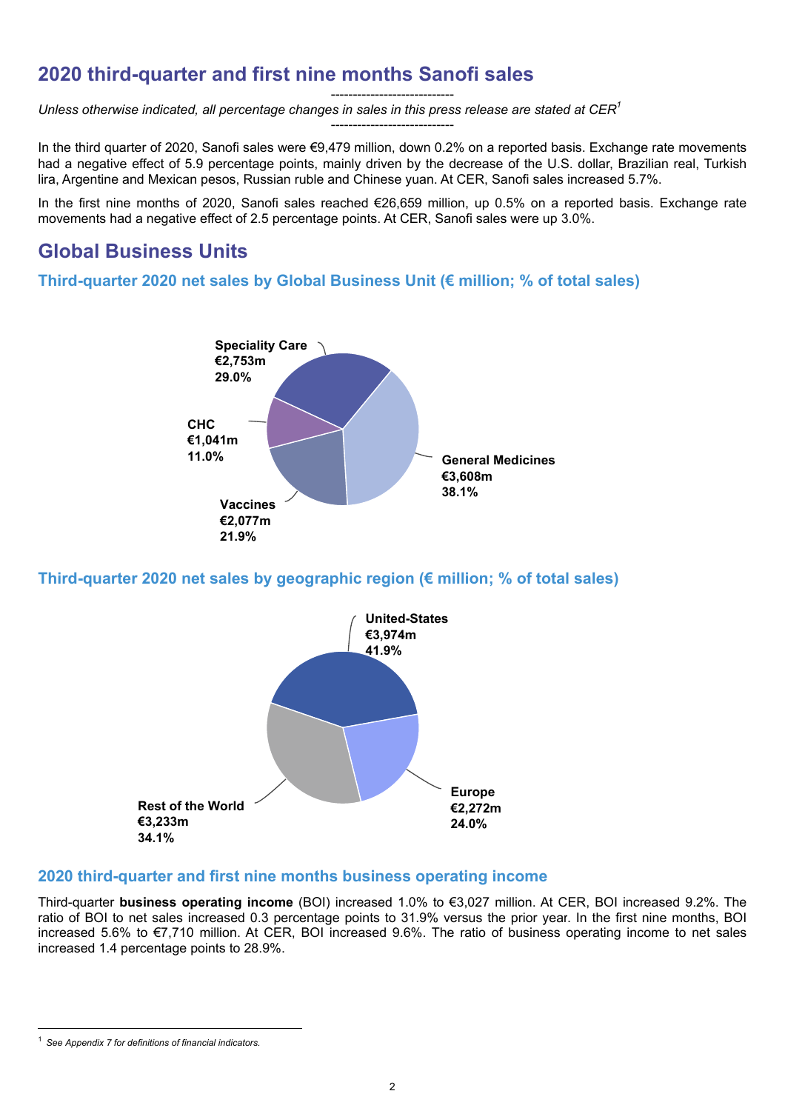# **2020 third-quarter and first nine months Sanofi sales**

----------------------------

----------------------------

*Unless otherwise indicated, all percentage changes in sales in this press release are stated at CER<sup>1</sup>*

In the third quarter of 2020, Sanofi sales were €9,479 million, down 0.2% on a reported basis. Exchange rate movements had a negative effect of 5.9 percentage points, mainly driven by the decrease of the U.S. dollar, Brazilian real, Turkish lira, Argentine and Mexican pesos, Russian ruble and Chinese yuan. At CER, Sanofi sales increased 5.7%.

In the first nine months of 2020, Sanofi sales reached €26,659 million, up 0.5% on a reported basis. Exchange rate movements had a negative effect of 2.5 percentage points. At CER, Sanofi sales were up 3.0%.

# **Global Business Units**

**Third-quarter 2020 net sales by Global Business Unit (€ million; % of total sales)**



**Third-quarter 2020 net sales by geographic region (€ million; % of total sales)**



# **2020 third-quarter and first nine months business operating income**

Third-quarter **business operating income** (BOI) increased 1.0% to €3,027 million. At CER, BOI increased 9.2%. The ratio of BOI to net sales increased 0.3 percentage points to 31.9% versus the prior year. In the first nine months, BOI increased 5.6% to €7,710 million. At CER, BOI increased 9.6%. The ratio of business operating income to net sales increased 1.4 percentage points to 28.9%.

<sup>1</sup> *See Appendix 7 for definitions of financial indicators.*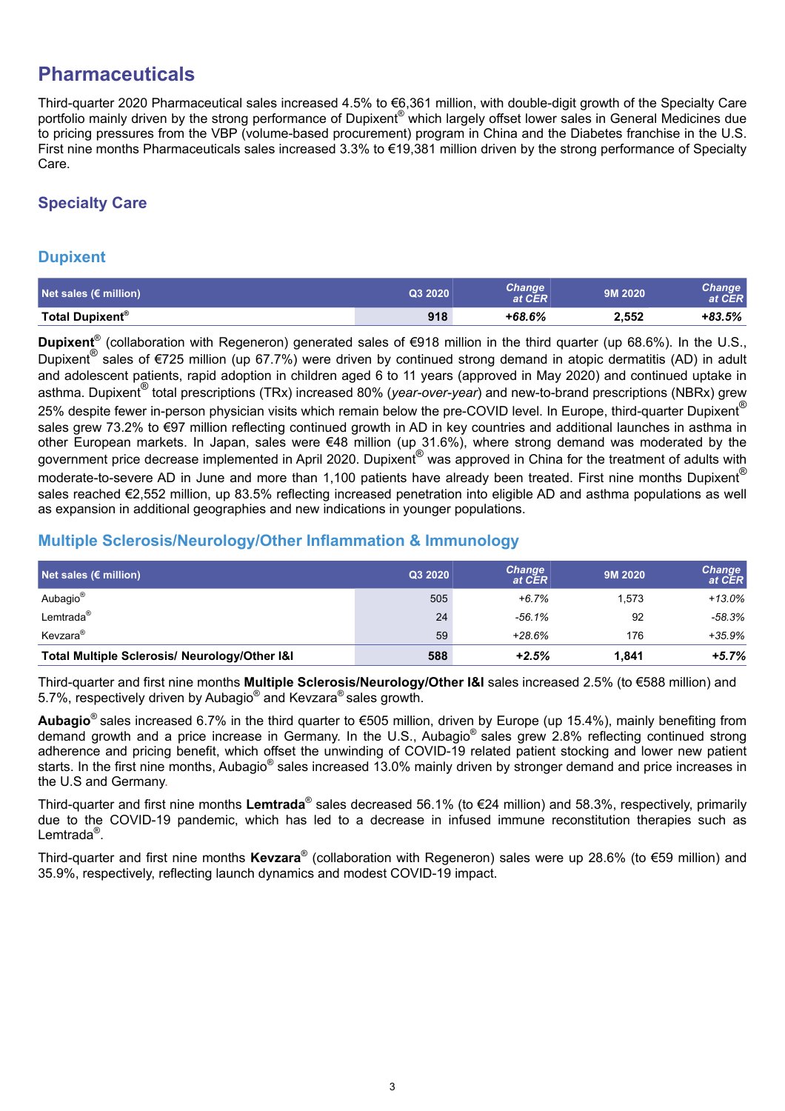# **Pharmaceuticals**

Third-quarter 2020 Pharmaceutical sales increased 4.5% to €6,361 million, with double-digit growth of the Specialty Care portfolio mainly driven by the strong performance of Dupixent® which largely offset lower sales in General Medicines due to pricing pressures from the VBP (volume-based procurement) program in China and the Diabetes franchise in the U.S. First nine months Pharmaceuticals sales increased 3.3% to €19,381 million driven by the strong performance of Specialty Care.

# **Specialty Care**

## **Dupixent**

| Net sales ( $\epsilon$ million) | Q3 2020 | Change'<br>at CER | 9M 2020 | Change<br>at CER |
|---------------------------------|---------|-------------------|---------|------------------|
| Total Dupixent <sup>®</sup>     | 918     | $+68.6%$          | 2.552   | $+83.5%$         |

**Dupixent**® (collaboration with Regeneron) generated sales of €918 million in the third quarter (up 68.6%). In the U.S., Dupixent® sales of €725 million (up 67.7%) were driven by continued strong demand in atopic dermatitis (AD) in adult and adolescent patients, rapid adoption in children aged 6 to 11 years (approved in May 2020) and continued uptake in asthma. Dupixent® total prescriptions (TRx) increased 80% (*year-over-year*) and new-to-brand prescriptions (NBRx) grew 25% despite fewer in-person physician visits which remain below the pre-COVID level. In Europe, third-quarter Dupixent $^{\circledR}$ sales grew 73.2% to €97 million reflecting continued growth in AD in key countries and additional launches in asthma in other European markets. In Japan, sales were €48 million (up 31.6%), where strong demand was moderated by the government price decrease implemented in April 2020. Dupixent<sup>®</sup> was approved in China for the treatment of adults with moderate-to-severe AD in June and more than 1,100 patients have already been treated. First nine months Dupixent® sales reached €2,552 million, up 83.5% reflecting increased penetration into eligible AD and asthma populations as well as expansion in additional geographies and new indications in younger populations.

## **Multiple Sclerosis/Neurology/Other Inflammation & Immunology**

| Net sales $\overline{\epsilon}$ million)      | Q3 2020 | <b>Change</b><br>at CER | 9M 2020 | <b>Change</b><br>at CER |
|-----------------------------------------------|---------|-------------------------|---------|-------------------------|
| Aubagio <sup>®</sup>                          | 505     | $+6.7%$                 | 1.573   | +13.0%                  |
| Lemtrada <sup>®</sup>                         | 24      | $-56.1%$                | 92      | -58.3%                  |
| Kevzara <sup>®</sup>                          | 59      | $+28.6%$                | 176     | +35.9%                  |
| Total Multiple Sclerosis/ Neurology/Other I&I | 588     | $+2.5%$                 | 1.841   | $+5.7%$                 |

Third-quarter and first nine months **Multiple Sclerosis/Neurology/Other I&I** sales increased 2.5% (to €588 million) and 5.7%, respectively driven by Aubagio® and Kevzara® sales growth.

**Aubagio**® sales increased 6.7% in the third quarter to €505 million, driven by Europe (up 15.4%), mainly benefiting from demand growth and a price increase in Germany. In the U.S., Aubagio® sales grew 2.8% reflecting continued strong adherence and pricing benefit, which offset the unwinding of COVID-19 related patient stocking and lower new patient starts. In the first nine months, Aubagio® sales increased 13.0% mainly driven by stronger demand and price increases in the U.S and Germany.

Third-quarter and first nine months **Lemtrada**® sales decreased 56.1% (to €24 million) and 58.3%, respectively, primarily due to the COVID-19 pandemic, which has led to a decrease in infused immune reconstitution therapies such as Lemtrada<sup>®</sup>.

Third-quarter and first nine months **Kevzara**® (collaboration with Regeneron) sales were up 28.6% (to €59 million) and 35.9%, respectively, reflecting launch dynamics and modest COVID-19 impact.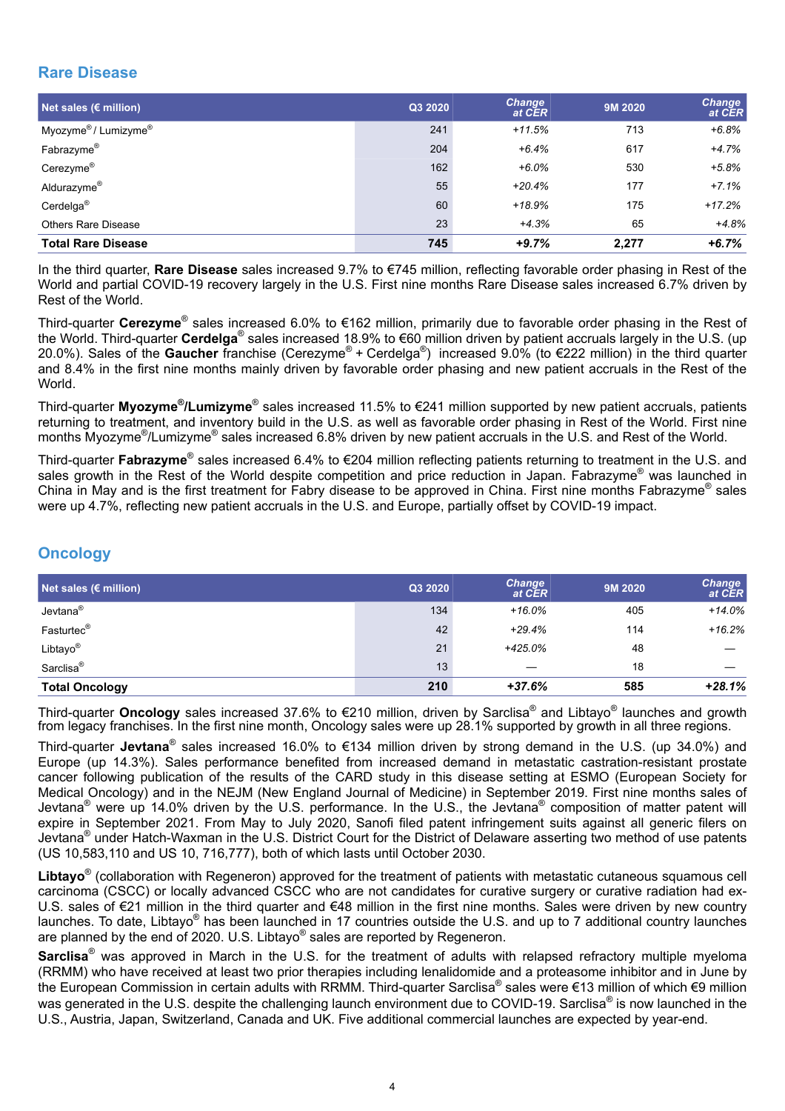# **Rare Disease**

| Net sales ( $\varepsilon$ million)           | Q3 2020 | <b>Change</b><br>at CER | 9M 2020 | <b>Change</b><br>at CER |
|----------------------------------------------|---------|-------------------------|---------|-------------------------|
| Myozyme <sup>®</sup> / Lumizyme <sup>®</sup> | 241     | $+11.5%$                | 713     | $+6.8%$                 |
| Fabrazyme®                                   | 204     | $+6.4%$                 | 617     | $+4.7%$                 |
| Cerezyme <sup>®</sup>                        | 162     | $+6.0%$                 | 530     | $+5.8%$                 |
| Aldurazyme®                                  | 55      | $+20.4%$                | 177     | $+7.1%$                 |
| Cerdelga <sup>®</sup>                        | 60      | $+18.9%$                | 175     | $+17.2%$                |
| <b>Others Rare Disease</b>                   | 23      | $+4.3%$                 | 65      | $+4.8%$                 |
| <b>Total Rare Disease</b>                    | 745     | $+9.7%$                 | 2.277   | $+6.7%$                 |

In the third quarter, **Rare Disease** sales increased 9.7% to €745 million, reflecting favorable order phasing in Rest of the World and partial COVID-19 recovery largely in the U.S. First nine months Rare Disease sales increased 6.7% driven by Rest of the World.

Third-quarter **Cerezyme**® sales increased 6.0% to €162 million, primarily due to favorable order phasing in the Rest of the World. Third-quarter **Cerdelga**® sales increased 18.9% to €60 million driven by patient accruals largely in the U.S. (up 20.0%). Sales of the **Gaucher** franchise (Cerezyme® + Cerdelga® ) increased 9.0% (to €222 million) in the third quarter and 8.4% in the first nine months mainly driven by favorable order phasing and new patient accruals in the Rest of the World.

Third-quarter **Myozyme® /Lumizyme**® sales increased 11.5% to €241 million supported by new patient accruals, patients returning to treatment, and inventory build in the U.S. as well as favorable order phasing in Rest of the World. First nine months Myozyme<sup>®</sup>/Lumizyme<sup>®</sup> sales increased 6.8% driven by new patient accruals in the U.S. and Rest of the World.

Third-quarter **Fabrazyme**® sales increased 6.4% to €204 million reflecting patients returning to treatment in the U.S. and sales growth in the Rest of the World despite competition and price reduction in Japan. Fabrazyme® was launched in China in May and is the first treatment for Fabry disease to be approved in China. First nine months Fabrazyme<sup>®</sup> sales were up 4.7%, reflecting new patient accruals in the U.S. and Europe, partially offset by COVID-19 impact.

# **Oncology**

| Net sales $\overline{\epsilon}$ million) | Q3 2020 | <b>Change</b><br>at CER | 9M 2020 | <b>Change</b><br>at CER |
|------------------------------------------|---------|-------------------------|---------|-------------------------|
| Jevtana <sup>®</sup>                     | 134     | $+16.0%$                | 405     | $+14.0%$                |
| Fasturtec <sup>®</sup>                   | 42      | $+29.4%$                | 114     | $+16.2%$                |
| Libtayo®                                 | 21      | $+425.0%$               | 48      |                         |
| Sarclisa <sup>®</sup>                    | 13      |                         | 18      |                         |
| <b>Total Oncology</b>                    | 210     | $+37.6%$                | 585     | $+28.1%$                |

Third-quarter **Oncology** sales increased 37.6% to €210 million, driven by Sarclisa® and Libtayo® launches and growth from legacy franchises. In the first nine month, Oncology sales were up 28.1% supported by growth in all three regions.

Third-quarter **Jevtana**® sales increased 16.0% to €134 million driven by strong demand in the U.S. (up 34.0%) and Europe (up 14.3%). Sales performance benefited from increased demand in metastatic castration-resistant prostate cancer following publication of the results of the CARD study in this disease setting at ESMO (European Society for Medical Oncology) and in the NEJM (New England Journal of Medicine) in September 2019. First nine months sales of Jevtana<sup>®</sup> were up 14.0% driven by the U.S. performance. In the U.S., the Jevtana<sup>®</sup> composition of matter patent will expire in September 2021. From May to July 2020, Sanofi filed patent infringement suits against all generic filers on Jevtana<sup>®</sup> under Hatch-Waxman in the U.S. District Court for the District of Delaware asserting two method of use patents (US 10,583,110 and US 10, 716,777), both of which lasts until October 2030.

**Libtayo**® (collaboration with Regeneron) approved for the treatment of patients with metastatic cutaneous squamous cell carcinoma (CSCC) or locally advanced CSCC who are not candidates for curative surgery or curative radiation had ex-U.S. sales of €21 million in the third quarter and €48 million in the first nine months. Sales were driven by new country launches. To date, Libtayo® has been launched in 17 countries outside the U.S. and up to 7 additional country launches are planned by the end of 2020. U.S. Libtayo® sales are reported by Regeneron.

**Sarclisa**® was approved in March in the U.S. for the treatment of adults with relapsed refractory multiple myeloma (RRMM) who have received at least two prior therapies including lenalidomide and a proteasome inhibitor and in June by the European Commission in certain adults with RRMM. Third-quarter Sarclisa® sales were €13 million of which €9 million was generated in the U.S. despite the challenging launch environment due to COVID-19. Sarclisa® is now launched in the U.S., Austria, Japan, Switzerland, Canada and UK. Five additional commercial launches are expected by year-end.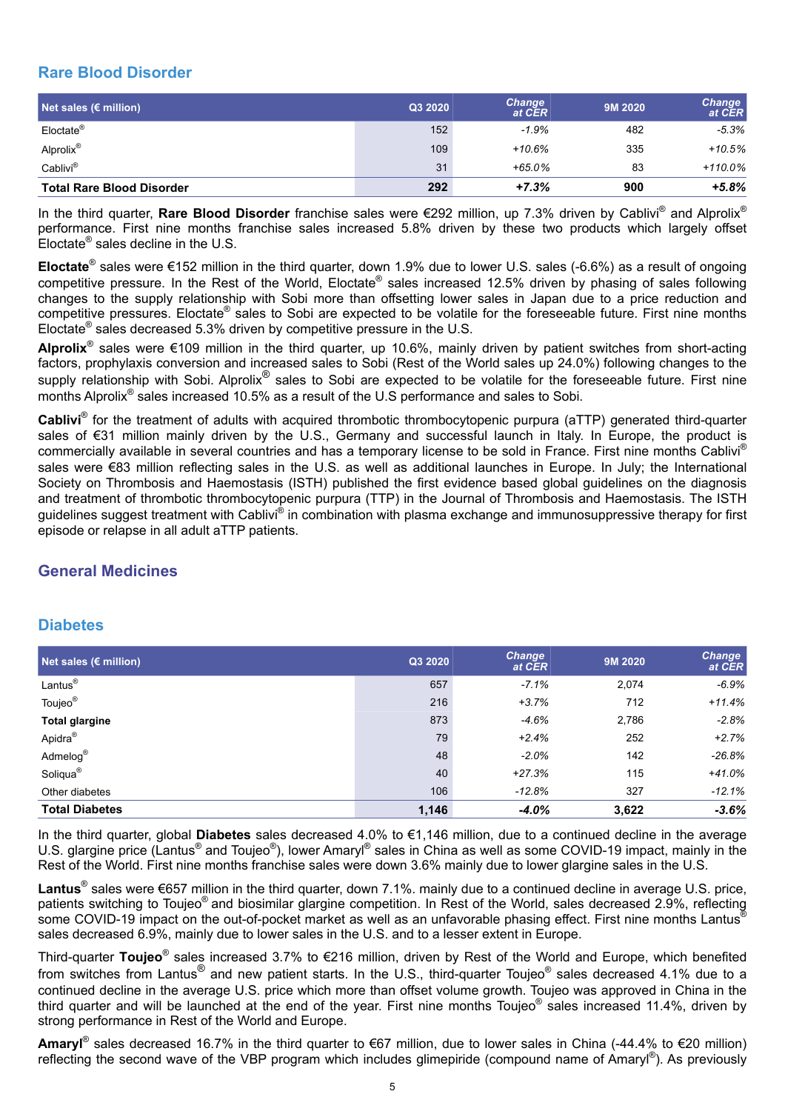## **Rare Blood Disorder**

| Net sales $\overline{\epsilon}$ million) | Q3 2020 | <b>Change</b><br>at CER | 9M 2020 | <b>Change</b><br>at CER |
|------------------------------------------|---------|-------------------------|---------|-------------------------|
| Eloctate <sup>®</sup>                    | 152     | $-1.9%$                 | 482     | $-5.3\%$                |
| Alprolix <sup>®</sup>                    | 109     | $+10.6%$                | 335     | $+10.5%$                |
| Cablivi®                                 | 31      | $+65.0%$                | 83      | $+110.0%$               |
| <b>Total Rare Blood Disorder</b>         | 292     | $+7.3%$                 | 900     | $+5.8%$                 |

In the third quarter, **Rare Blood Disorder** franchise sales were €292 million, up 7.3% driven by Cablivi® and Alprolix® performance. First nine months franchise sales increased 5.8% driven by these two products which largely offset Eloctate<sup>®</sup> sales decline in the U.S.

**Eloctate**® sales were €152 million in the third quarter, down 1.9% due to lower U.S. sales (-6.6%) as a result of ongoing competitive pressure. In the Rest of the World, Eloctate® sales increased 12.5% driven by phasing of sales following changes to the supply relationship with Sobi more than offsetting lower sales in Japan due to a price reduction and competitive pressures. Eloctate<sup>®</sup> sales to Sobi are expected to be volatile for the foreseeable future. First nine months Eloctate<sup>®</sup> sales decreased 5.3% driven by competitive pressure in the U.S.

**Alprolix**® sales were €109 million in the third quarter, up 10.6%, mainly driven by patient switches from short-acting factors, prophylaxis conversion and increased sales to Sobi (Rest of the World sales up 24.0%) following changes to the supply relationship with Sobi. Alprolix<sup>®</sup> sales to Sobi are expected to be volatile for the foreseeable future. First nine months Alprolix® sales increased 10.5% as a result of the U.S performance and sales to Sobi.

**Cablivi**® for the treatment of adults with acquired thrombotic thrombocytopenic purpura (aTTP) generated third-quarter sales of €31 million mainly driven by the U.S., Germany and successful launch in Italy. In Europe, the product is commercially available in several countries and has a temporary license to be sold in France. First nine months Cablivi® sales were €83 million reflecting sales in the U.S. as well as additional launches in Europe. In July; the International Society on Thrombosis and Haemostasis (ISTH) published the first evidence based global guidelines on the diagnosis and treatment of thrombotic thrombocytopenic purpura (TTP) in the Journal of Thrombosis and Haemostasis. The ISTH guidelines suggest treatment with Cablivi® in combination with plasma exchange and immunosuppressive therapy for first episode or relapse in all adult aTTP patients.

# **General Medicines**

## **Diabetes**

| Net sales ( $\epsilon$ million) | Q3 2020 | <b>Change</b><br>at CER | 9M 2020 | <b>Change</b><br>at CER |
|---------------------------------|---------|-------------------------|---------|-------------------------|
| Lantus <sup>®</sup>             | 657     | $-7.1%$                 | 2,074   | $-6.9%$                 |
| Toujeo <sup>®</sup>             | 216     | $+3.7%$                 | 712     | $+11.4%$                |
| <b>Total glargine</b>           | 873     | $-4.6%$                 | 2,786   | $-2.8%$                 |
| Apidra <sup>®</sup>             | 79      | $+2.4%$                 | 252     | $+2.7%$                 |
| Admelog®                        | 48      | $-2.0%$                 | 142     | $-26.8%$                |
| Soliqua <sup>®</sup>            | 40      | $+27.3%$                | 115     | $+41.0%$                |
| Other diabetes                  | 106     | $-12.8%$                | 327     | $-12.1%$                |
| <b>Total Diabetes</b>           | 1,146   | $-4.0%$                 | 3,622   | $-3.6%$                 |

In the third quarter, global **Diabetes** sales decreased 4.0% to €1,146 million, due to a continued decline in the average U.S. glargine price (Lantus® and Toujeo®), lower Amaryl® sales in China as well as some COVID-19 impact, mainly in the Rest of the World. First nine months franchise sales were down 3.6% mainly due to lower glargine sales in the U.S.

**Lantus**® sales were €657 million in the third quarter, down 7.1%. mainly due to a continued decline in average U.S. price, patients switching to Toujeo<sup>®</sup> and biosimilar glargine competition. In Rest of the World, sales decreased 2.9%, reflecting some COVID-19 impact on the out-of-pocket market as well as an unfavorable phasing effect. First nine months Lantus<sup>®</sup> sales decreased 6.9%, mainly due to lower sales in the U.S. and to a lesser extent in Europe.

Third-quarter **Toujeo**® sales increased 3.7% to €216 million, driven by Rest of the World and Europe, which benefited from switches from Lantus<sup>®</sup> and new patient starts. In the U.S., third-quarter Toujeo<sup>®</sup> sales decreased 4.1% due to a continued decline in the average U.S. price which more than offset volume growth. Toujeo was approved in China in the third quarter and will be launched at the end of the year. First nine months Toujeo® sales increased 11.4%, driven by strong performance in Rest of the World and Europe.

Amaryl<sup>®</sup> sales decreased 16.7% in the third quarter to €67 million, due to lower sales in China (-44.4% to €20 million) reflecting the second wave of the VBP program which includes glimepiride (compound name of Amaryl®). As previously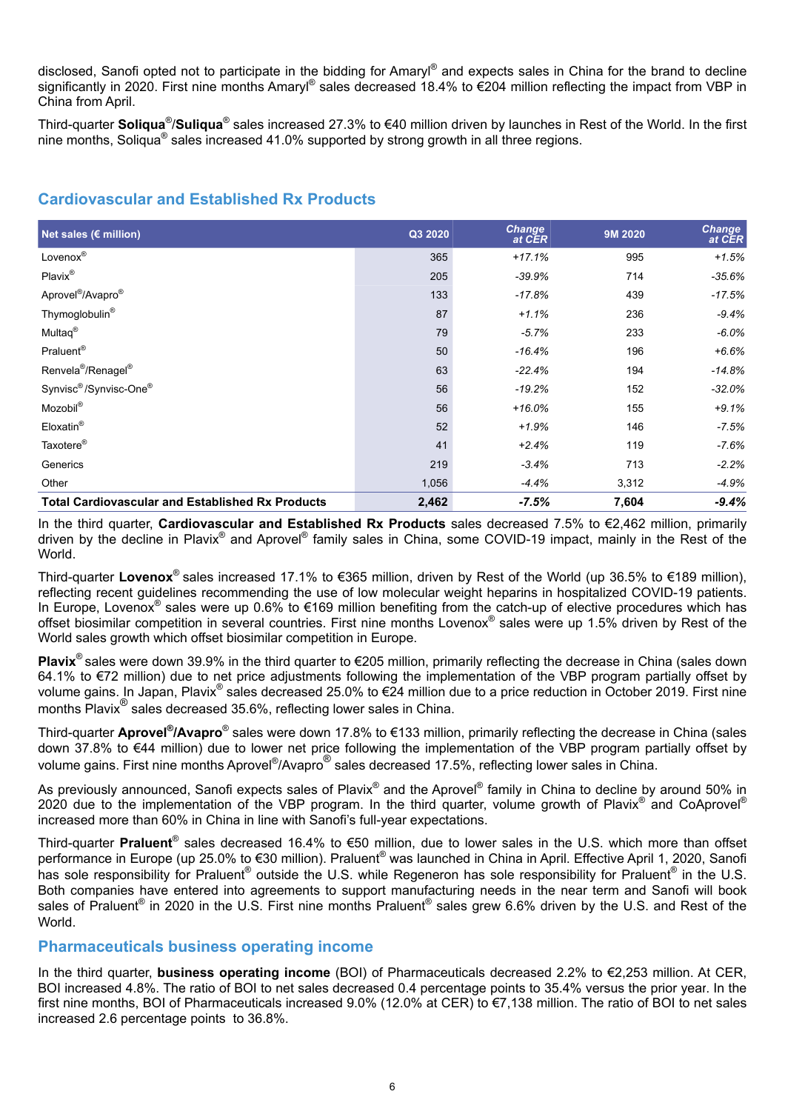disclosed, Sanofi opted not to participate in the bidding for Amaryl® and expects sales in China for the brand to decline significantly in 2020. First nine months Amaryl® sales decreased 18.4% to €204 million reflecting the impact from VBP in China from April.

Third-quarter Soliqua<sup>®</sup>/Suliqua<sup>®</sup> sales increased 27.3% to €40 million driven by launches in Rest of the World. In the first nine months, Soliqua® sales increased 41.0% supported by strong growth in all three regions.

## **Cardiovascular and Established Rx Products**

| Net sales ( $\varepsilon$ million)                      | Q3 2020 | <b>Change</b><br>at CER | 9M 2020 | <b>Change</b><br>at CER |
|---------------------------------------------------------|---------|-------------------------|---------|-------------------------|
| Lovenox®                                                | 365     | $+17.1%$                | 995     | $+1.5%$                 |
| Plavix®                                                 | 205     | $-39.9%$                | 714     | $-35.6%$                |
| Aprovel <sup>®</sup> /Avapro <sup>®</sup>               | 133     | $-17.8%$                | 439     | $-17.5%$                |
| Thymoglobulin <sup>®</sup>                              | 87      | $+1.1%$                 | 236     | $-9.4%$                 |
| Multaq <sup>®</sup>                                     | 79      | $-5.7%$                 | 233     | $-6.0\%$                |
| Praluent <sup>®</sup>                                   | 50      | $-16.4%$                | 196     | $+6.6%$                 |
| Renvela <sup>®</sup> /Renagel <sup>®</sup>              | 63      | $-22.4%$                | 194     | $-14.8%$                |
| Synvisc <sup>®</sup> /Synvisc-One <sup>®</sup>          | 56      | $-19.2%$                | 152     | $-32.0%$                |
| Mozobil <sup>®</sup>                                    | 56      | $+16.0%$                | 155     | $+9.1%$                 |
| Eloxatin <sup>®</sup>                                   | 52      | $+1.9%$                 | 146     | $-7.5%$                 |
| Taxotere <sup>®</sup>                                   | 41      | $+2.4%$                 | 119     | $-7.6%$                 |
| Generics                                                | 219     | $-3.4%$                 | 713     | $-2.2\%$                |
| Other                                                   | 1,056   | $-4.4%$                 | 3,312   | $-4.9%$                 |
| <b>Total Cardiovascular and Established Rx Products</b> | 2,462   | $-7.5%$                 | 7,604   | $-9.4%$                 |

In the third quarter, **Cardiovascular and Established Rx Products** sales decreased 7.5% to €2,462 million, primarily driven by the decline in Plavix<sup>®</sup> and Aprovel<sup>®</sup> family sales in China, some COVID-19 impact, mainly in the Rest of the World.

Third-quarter **Lovenox**® sales increased 17.1% to €365 million, driven by Rest of the World (up 36.5% to €189 million), reflecting recent guidelines recommending the use of low molecular weight heparins in hospitalized COVID-19 patients. In Europe, Lovenox<sup>®</sup> sales were up 0.6% to €169 million benefiting from the catch-up of elective procedures which has offset biosimilar competition in several countries. First nine months Lovenox® sales were up 1.5% driven by Rest of the World sales growth which offset biosimilar competition in Europe.

**Plavix<sup>®</sup> sales were down 39.9% in the third quarter to €205 million, primarily reflecting the decrease in China (sales down** 64.1% to €72 million) due to net price adjustments following the implementation of the VBP program partially offset by volume gains. In Japan, Plavix® sales decreased 25.0% to €24 million due to a price reduction in October 2019. First nine months Plavix<sup>®</sup> sales decreased 35.6%, reflecting lower sales in China.

Third-quarter Aprovel<sup>®</sup>/Avapro<sup>®</sup> sales were down 17.8% to €133 million, primarily reflecting the decrease in China (sales down 37.8% to €44 million) due to lower net price following the implementation of the VBP program partially offset by volume gains. First nine months Aprovel® /Avapro® sales decreased 17.5%, reflecting lower sales in China.

As previously announced, Sanofi expects sales of Plavix® and the Aprovel® family in China to decline by around 50% in 2020 due to the implementation of the VBP program. In the third quarter, volume growth of Plavix® and CoAprovel® increased more than 60% in China in line with Sanofi's full-year expectations.

Third-quarter **Praluent**® sales decreased 16.4% to €50 million, due to lower sales in the U.S. which more than offset performance in Europe (up 25.0% to €30 million). Praluent® was launched in China in April. Effective April 1, 2020, Sanofi has sole responsibility for Praluent<sup>®</sup> outside the U.S. while Regeneron has sole responsibility for Praluent<sup>®</sup> in the U.S. Both companies have entered into agreements to support manufacturing needs in the near term and Sanofi will book sales of Praluent® in 2020 in the U.S. First nine months Praluent® sales grew 6.6% driven by the U.S. and Rest of the World.

#### **Pharmaceuticals business operating income**

In the third quarter, **business operating income** (BOI) of Pharmaceuticals decreased 2.2% to €2,253 million. At CER, BOI increased 4.8%. The ratio of BOI to net sales decreased 0.4 percentage points to 35.4% versus the prior year. In the first nine months, BOI of Pharmaceuticals increased 9.0% (12.0% at CER) to €7,138 million. The ratio of BOI to net sales increased 2.6 percentage points to 36.8%.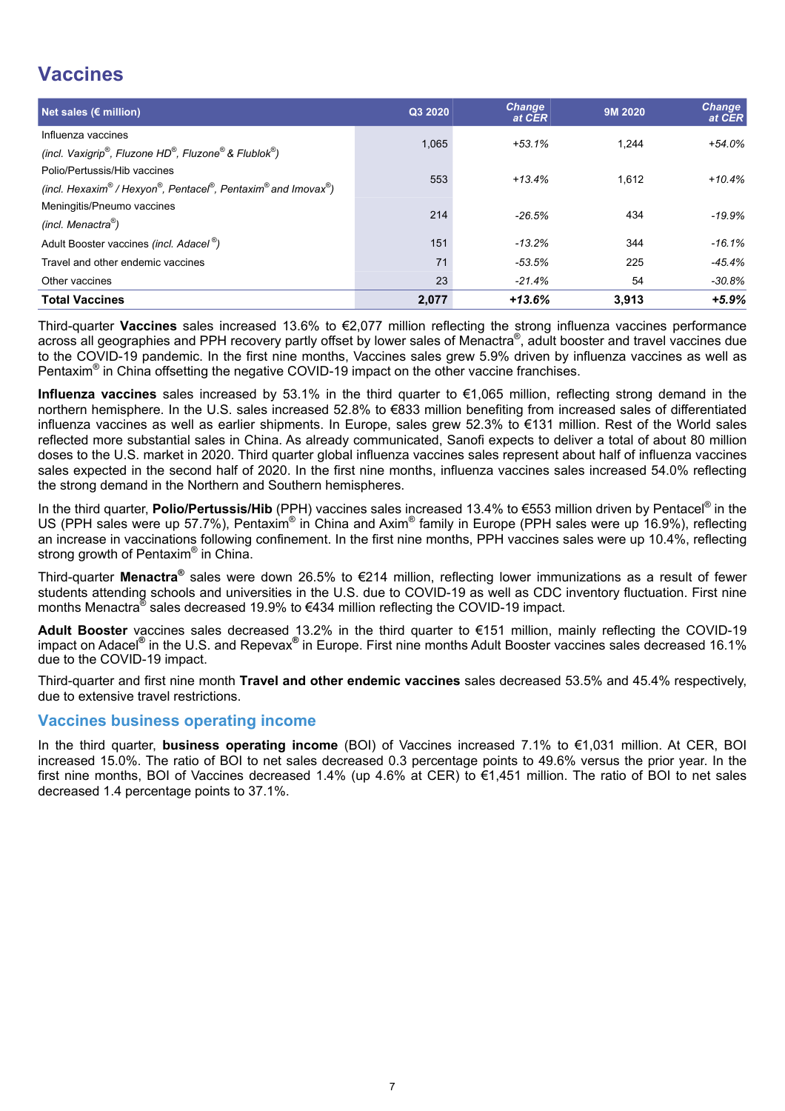# **Vaccines**

| Net sales ( $\varepsilon$ million)                                                           | Q3 2020 | <b>Change</b><br>at CER | 9M 2020 | <b>Change</b><br>at CER |
|----------------------------------------------------------------------------------------------|---------|-------------------------|---------|-------------------------|
| Influenza vaccines<br>(incl. Vaxigrip®, Fluzone HD®, Fluzone® & Flublok®)                    | 1.065   | $+53.1%$                | 1.244   | $+54.0%$                |
| Polio/Pertussis/Hib vaccines<br>(incl. Hexaxim® / Hexyon®, Pentacel®, Pentaxim® and Imovax®) | 553     | $+13.4%$                | 1,612   | $+10.4%$                |
| Meningitis/Pneumo vaccines<br>(incl. Menactra <sup>®</sup> )                                 | 214     | $-26.5%$                | 434     | $-19.9%$                |
| Adult Booster vaccines (incl. Adacel <sup>®</sup> )                                          | 151     | $-13.2%$                | 344     | $-16.1%$                |
| Travel and other endemic vaccines                                                            | 71      | -53.5%                  | 225     | -45.4%                  |
| Other vaccines                                                                               | 23      | $-21.4%$                | 54      | -30.8%                  |
| <b>Total Vaccines</b>                                                                        | 2,077   | $+13.6%$                | 3.913   | $+5.9%$                 |

Third-quarter **Vaccines** sales increased 13.6% to €2,077 million reflecting the strong influenza vaccines performance across all geographies and PPH recovery partly offset by lower sales of Menactra®, adult booster and travel vaccines due to the COVID-19 pandemic. In the first nine months, Vaccines sales grew 5.9% driven by influenza vaccines as well as Pentaxim<sup>®</sup> in China offsetting the negative COVID-19 impact on the other vaccine franchises.

**Influenza vaccines** sales increased by 53.1% in the third quarter to €1,065 million, reflecting strong demand in the northern hemisphere. In the U.S. sales increased 52.8% to €833 million benefiting from increased sales of differentiated influenza vaccines as well as earlier shipments. In Europe, sales grew 52.3% to €131 million. Rest of the World sales reflected more substantial sales in China. As already communicated, Sanofi expects to deliver a total of about 80 million doses to the U.S. market in 2020. Third quarter global influenza vaccines sales represent about half of influenza vaccines sales expected in the second half of 2020. In the first nine months, influenza vaccines sales increased 54.0% reflecting the strong demand in the Northern and Southern hemispheres.

In the third quarter, Polio/Pertussis/Hib (PPH) vaccines sales increased 13.4% to €553 million driven by Pentacel<sup>®</sup> in the US (PPH sales were up 57.7%), Pentaxim<sup>®</sup> in China and Axim<sup>®</sup> family in Europe (PPH sales were up 16.9%), reflecting an increase in vaccinations following confinement. In the first nine months, PPH vaccines sales were up 10.4%, reflecting strong growth of Pentaxim® in China.

Third-quarter **Menactra®** sales were down 26.5% to €214 million, reflecting lower immunizations as a result of fewer students attending schools and universities in the U.S. due to COVID-19 as well as CDC inventory fluctuation. First nine months Menactra<sup>®</sup> sales decreased 19.9% to €434 million reflecting the COVID-19 impact.

**Adult Booster** vaccines sales decreased 13.2% in the third quarter to €151 million, mainly reflecting the COVID-19 impact on Adacel**®** in the U.S. and Repevax**®** in Europe. First nine months Adult Booster vaccines sales decreased 16.1% due to the COVID-19 impact.

Third-quarter and first nine month **Travel and other endemic vaccines** sales decreased 53.5% and 45.4% respectively, due to extensive travel restrictions.

#### **Vaccines business operating income**

In the third quarter, **business operating income** (BOI) of Vaccines increased 7.1% to €1,031 million. At CER, BOI increased 15.0%. The ratio of BOI to net sales decreased 0.3 percentage points to 49.6% versus the prior year. In the first nine months, BOI of Vaccines decreased 1.4% (up 4.6% at CER) to €1,451 million. The ratio of BOI to net sales decreased 1.4 percentage points to 37.1%.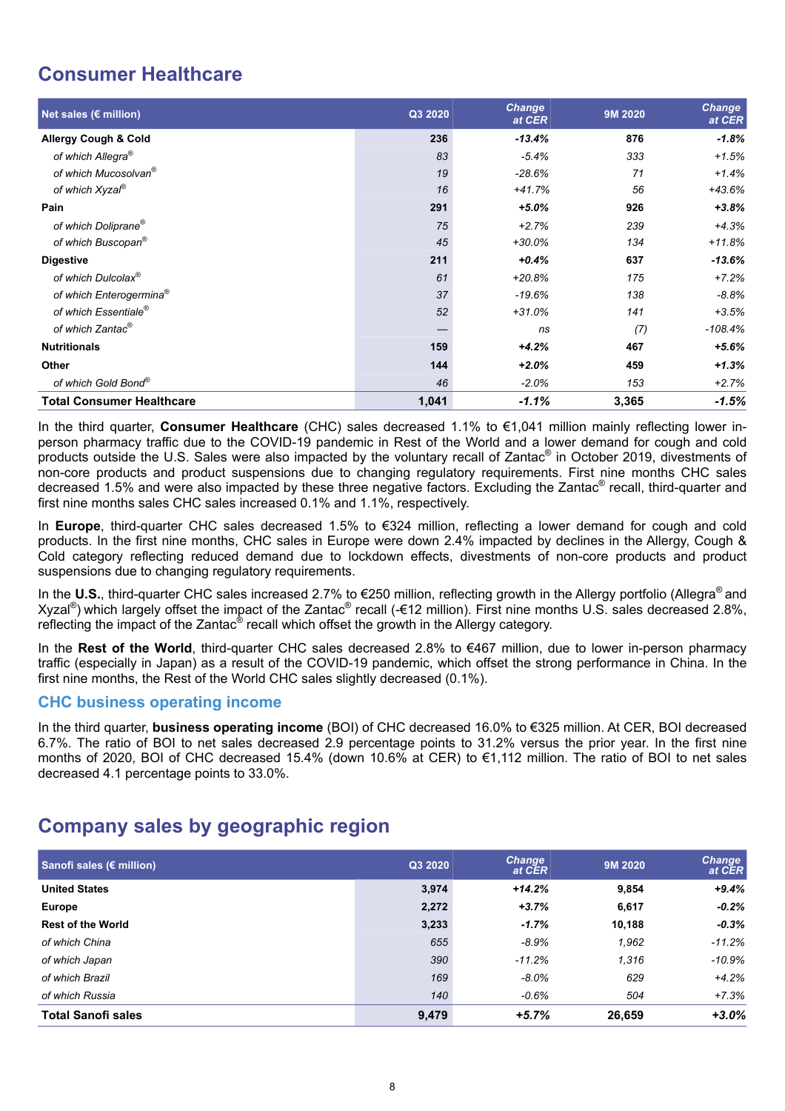# **Consumer Healthcare**

| Net sales ( $\varepsilon$ million)  | Q3 2020 | <b>Change</b><br>at CER | 9M 2020 | <b>Change</b><br>at CER |
|-------------------------------------|---------|-------------------------|---------|-------------------------|
| <b>Allergy Cough &amp; Cold</b>     | 236     | $-13.4%$                | 876     | $-1.8%$                 |
| of which Allegra <sup>®</sup>       | 83      | $-5.4%$                 | 333     | $+1.5%$                 |
| of which Mucosolvan <sup>®</sup>    | 19      | $-28.6%$                | 71      | $+1.4%$                 |
| of which Xyzal <sup>®</sup>         | 16      | $+41.7%$                | 56      | $+43.6%$                |
| Pain                                | 291     | $+5.0%$                 | 926     | $+3.8%$                 |
| of which Doliprane <sup>®</sup>     | 75      | $+2.7%$                 | 239     | $+4.3%$                 |
| of which Buscopan®                  | 45      | $+30.0%$                | 134     | $+11.8%$                |
| <b>Digestive</b>                    | 211     | $+0.4%$                 | 637     | $-13.6%$                |
| of which Dulcolax <sup>®</sup>      | 61      | $+20.8%$                | 175     | $+7.2%$                 |
| of which Enterogermina <sup>®</sup> | 37      | $-19.6%$                | 138     | $-8.8%$                 |
| of which Essentiale <sup>®</sup>    | 52      | $+31.0%$                | 141     | $+3.5%$                 |
| of which Zantac <sup>®</sup>        | –       | ns                      | (7)     | $-108.4%$               |
| <b>Nutritionals</b>                 | 159     | $+4.2%$                 | 467     | +5.6%                   |
| Other                               | 144     | $+2.0%$                 | 459     | $+1.3%$                 |
| of which Gold Bond®                 | 46      | $-2.0%$                 | 153     | $+2.7%$                 |
| <b>Total Consumer Healthcare</b>    | 1,041   | $-1.1%$                 | 3,365   | $-1.5%$                 |

In the third quarter, **Consumer Healthcare** (CHC) sales decreased 1.1% to €1,041 million mainly reflecting lower inperson pharmacy traffic due to the COVID-19 pandemic in Rest of the World and a lower demand for cough and cold products outside the U.S. Sales were also impacted by the voluntary recall of Zantac® in October 2019, divestments of non-core products and product suspensions due to changing regulatory requirements. First nine months CHC sales decreased 1.5% and were also impacted by these three negative factors. Excluding the Zantac® recall, third-quarter and first nine months sales CHC sales increased 0.1% and 1.1%, respectively.

In **Europe**, third-quarter CHC sales decreased 1.5% to €324 million, reflecting a lower demand for cough and cold products. In the first nine months, CHC sales in Europe were down 2.4% impacted by declines in the Allergy, Cough & Cold category reflecting reduced demand due to lockdown effects, divestments of non-core products and product suspensions due to changing regulatory requirements.

In the **U.S.**, third-quarter CHC sales increased 2.7% to €250 million, reflecting growth in the Allergy portfolio (Allegra® and Xyzal<sup>®</sup>) which largely offset the impact of the Zantac<sup>®</sup> recall (-€12 million). First nine months U.S. sales decreased 2.8%, reflecting the impact of the Zantac $^{\circledast}$  recall which offset the growth in the Allergy category.

In the **Rest of the World**, third-quarter CHC sales decreased 2.8% to €467 million, due to lower in-person pharmacy traffic (especially in Japan) as a result of the COVID-19 pandemic, which offset the strong performance in China. In the first nine months, the Rest of the World CHC sales slightly decreased (0.1%).

#### **CHC business operating income**

In the third quarter, **business operating income** (BOI) of CHC decreased 16.0% to €325 million. At CER, BOI decreased 6.7%. The ratio of BOI to net sales decreased 2.9 percentage points to 31.2% versus the prior year. In the first nine months of 2020, BOI of CHC decreased 15.4% (down 10.6% at CER) to €1,112 million. The ratio of BOI to net sales decreased 4.1 percentage points to 33.0%.

# **Company sales by geographic region**

| Sanofi sales (€ million)  | Q3 2020 | <b>Change</b><br>at CER | 9M 2020 | <b>Change</b><br>at CER |
|---------------------------|---------|-------------------------|---------|-------------------------|
| <b>United States</b>      | 3.974   | $+14.2%$                | 9,854   | $+9.4%$                 |
| <b>Europe</b>             | 2,272   | $+3.7%$                 | 6,617   | $-0.2%$                 |
| <b>Rest of the World</b>  | 3,233   | $-1.7%$                 | 10,188  | $-0.3%$                 |
| of which China            | 655     | $-8.9%$                 | 1,962   | $-11.2%$                |
| of which Japan            | 390     | $-11.2%$                | 1,316   | $-10.9\%$               |
| of which Brazil           | 169     | $-8.0%$                 | 629     | $+4.2%$                 |
| of which Russia           | 140     | $-0.6\%$                | 504     | $+7.3%$                 |
| <b>Total Sanofi sales</b> | 9,479   | $+5.7%$                 | 26,659  | $+3.0%$                 |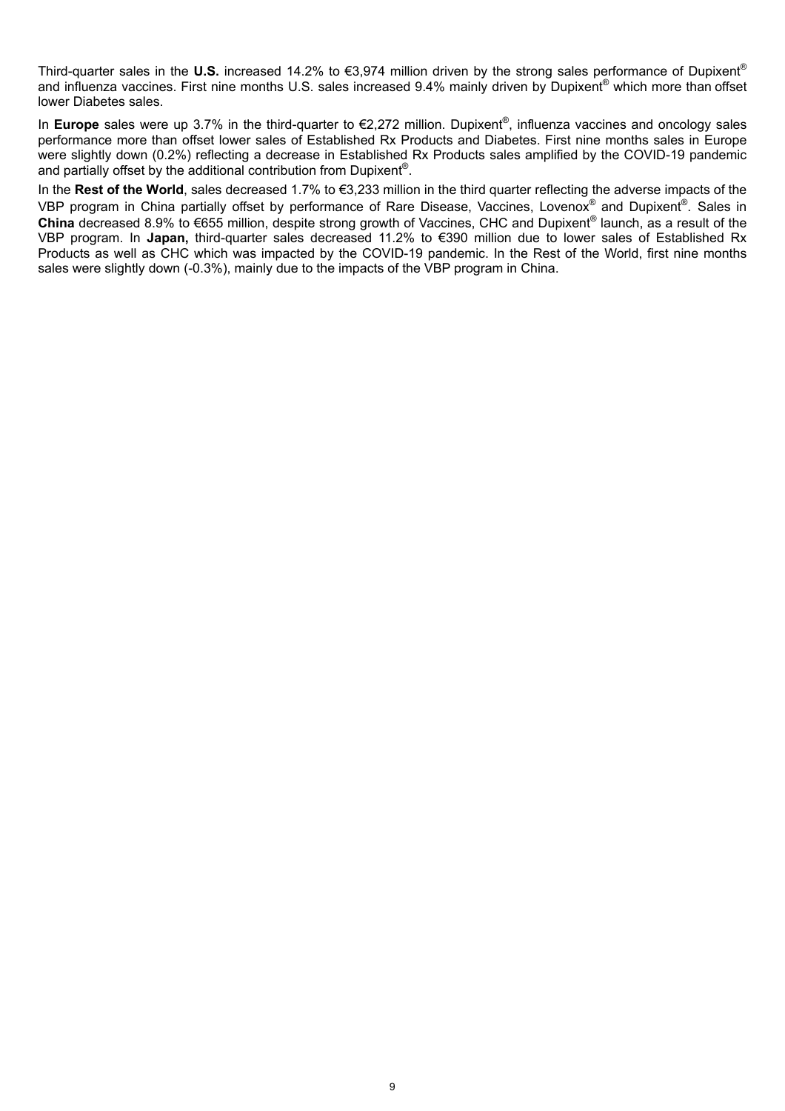Third-quarter sales in the **U.S.** increased 14.2% to €3,974 million driven by the strong sales performance of Dupixent® and influenza vaccines. First nine months U.S. sales increased 9.4% mainly driven by Dupixent® which more than offset lower Diabetes sales.

In **Europe** sales were up 3.7% in the third-quarter to €2,272 million. Dupixent® , influenza vaccines and oncology sales performance more than offset lower sales of Established Rx Products and Diabetes. First nine months sales in Europe were slightly down (0.2%) reflecting a decrease in Established Rx Products sales amplified by the COVID-19 pandemic and partially offset by the additional contribution from Dupixent® .

In the **Rest of the World**, sales decreased 1.7% to €3,233 million in the third quarter reflecting the adverse impacts of the VBP program in China partially offset by performance of Rare Disease, Vaccines, Lovenox® and Dupixent®. Sales in **China** decreased 8.9% to €655 million, despite strong growth of Vaccines, CHC and Dupixent® launch, as a result of the VBP program. In **Japan,** third-quarter sales decreased 11.2% to €390 million due to lower sales of Established Rx Products as well as CHC which was impacted by the COVID-19 pandemic. In the Rest of the World, first nine months sales were slightly down (-0.3%), mainly due to the impacts of the VBP program in China.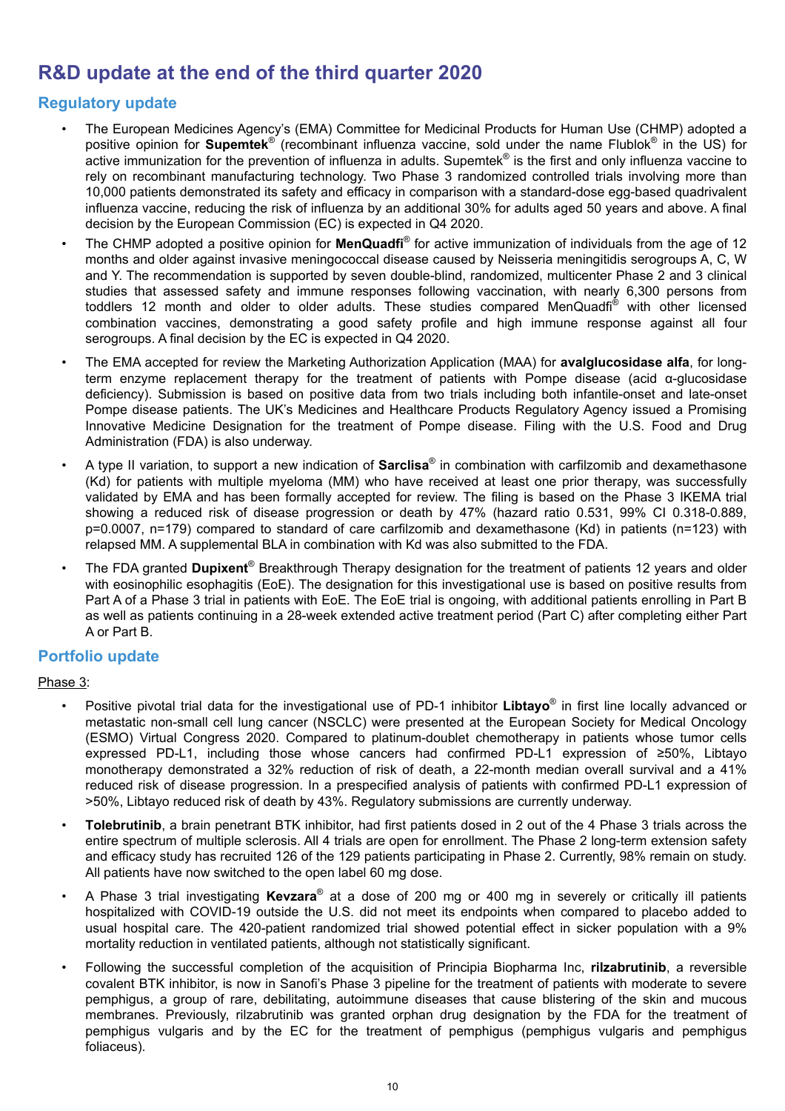# **R&D update at the end of the third quarter 2020**

## **Regulatory update**

- The European Medicines Agency's (EMA) Committee for Medicinal Products for Human Use (CHMP) adopted a positive opinion for **Supemtek**® (recombinant influenza vaccine, sold under the name Flublok® in the US) for active immunization for the prevention of influenza in adults. Supemtek® is the first and only influenza vaccine to rely on recombinant manufacturing technology. Two Phase 3 randomized controlled trials involving more than 10,000 patients demonstrated its safety and efficacy in comparison with a standard-dose egg-based quadrivalent influenza vaccine, reducing the risk of influenza by an additional 30% for adults aged 50 years and above. A final decision by the European Commission (EC) is expected in Q4 2020.
- The CHMP adopted a positive opinion for **MenQuadfi**<sup>®</sup> for active immunization of individuals from the age of 12 months and older against invasive meningococcal disease caused by Neisseria meningitidis serogroups A, C, W and Y. The recommendation is supported by seven double-blind, randomized, multicenter Phase 2 and 3 clinical studies that assessed safety and immune responses following vaccination, with nearly 6,300 persons from toddlers 12 month and older to older adults. These studies compared MenQuadfi® with other licensed combination vaccines, demonstrating a good safety profile and high immune response against all four serogroups. A final decision by the EC is expected in Q4 2020.
- The EMA accepted for review the Marketing Authorization Application (MAA) for **avalglucosidase alfa**, for longterm enzyme replacement therapy for the treatment of patients with Pompe disease (acid α-glucosidase deficiency). Submission is based on positive data from two trials including both infantile-onset and late-onset Pompe disease patients. The UK's Medicines and Healthcare Products Regulatory Agency issued a Promising Innovative Medicine Designation for the treatment of Pompe disease. Filing with the U.S. Food and Drug Administration (FDA) is also underway.
- A type II variation, to support a new indication of **Sarclisa**<sup>®</sup> in combination with carfilzomib and dexamethasone (Kd) for patients with multiple myeloma (MM) who have received at least one prior therapy, was successfully validated by EMA and has been formally accepted for review. The filing is based on the Phase 3 IKEMA trial showing a reduced risk of disease progression or death by 47% (hazard ratio 0.531, 99% CI 0.318-0.889, p=0.0007, n=179) compared to standard of care carfilzomib and dexamethasone (Kd) in patients (n=123) with relapsed MM. A supplemental BLA in combination with Kd was also submitted to the FDA.
- The FDA granted **Dupixent**® Breakthrough Therapy designation for the treatment of patients 12 years and older with eosinophilic esophagitis (EoE). The designation for this investigational use is based on positive results from Part A of a Phase 3 trial in patients with EoE. The EoE trial is ongoing, with additional patients enrolling in Part B as well as patients continuing in a 28-week extended active treatment period (Part C) after completing either Part A or Part B.

## **Portfolio update**

#### Phase 3:

- Positive pivotal trial data for the investigational use of PD-1 inhibitor **Libtayo**® in first line locally advanced or metastatic non-small cell lung cancer (NSCLC) were presented at the European Society for Medical Oncology (ESMO) Virtual Congress 2020. Compared to platinum-doublet chemotherapy in patients whose tumor cells expressed PD-L1, including those whose cancers had confirmed PD-L1 expression of ≥50%, Libtayo monotherapy demonstrated a 32% reduction of risk of death, a 22-month median overall survival and a 41% reduced risk of disease progression. In a prespecified analysis of patients with confirmed PD-L1 expression of >50%, Libtayo reduced risk of death by 43%. Regulatory submissions are currently underway.
- **Tolebrutinib**, a brain penetrant BTK inhibitor, had first patients dosed in 2 out of the 4 Phase 3 trials across the entire spectrum of multiple sclerosis. All 4 trials are open for enrollment. The Phase 2 long-term extension safety and efficacy study has recruited 126 of the 129 patients participating in Phase 2. Currently, 98% remain on study. All patients have now switched to the open label 60 mg dose.
- A Phase 3 trial investigating Kevzara® at a dose of 200 mg or 400 mg in severely or critically ill patients hospitalized with COVID-19 outside the U.S. did not meet its endpoints when compared to placebo added to usual hospital care. The 420-patient randomized trial showed potential effect in sicker population with a 9% mortality reduction in ventilated patients, although not statistically significant.
- Following the successful completion of the acquisition of Principia Biopharma Inc, **rilzabrutinib**, a reversible covalent BTK inhibitor, is now in Sanofi's Phase 3 pipeline for the treatment of patients with moderate to severe pemphigus, a group of rare, debilitating, autoimmune diseases that cause blistering of the skin and mucous membranes. Previously, rilzabrutinib was granted orphan drug designation by the FDA for the treatment of pemphigus vulgaris and by the EC for the treatment of pemphigus (pemphigus vulgaris and pemphigus foliaceus).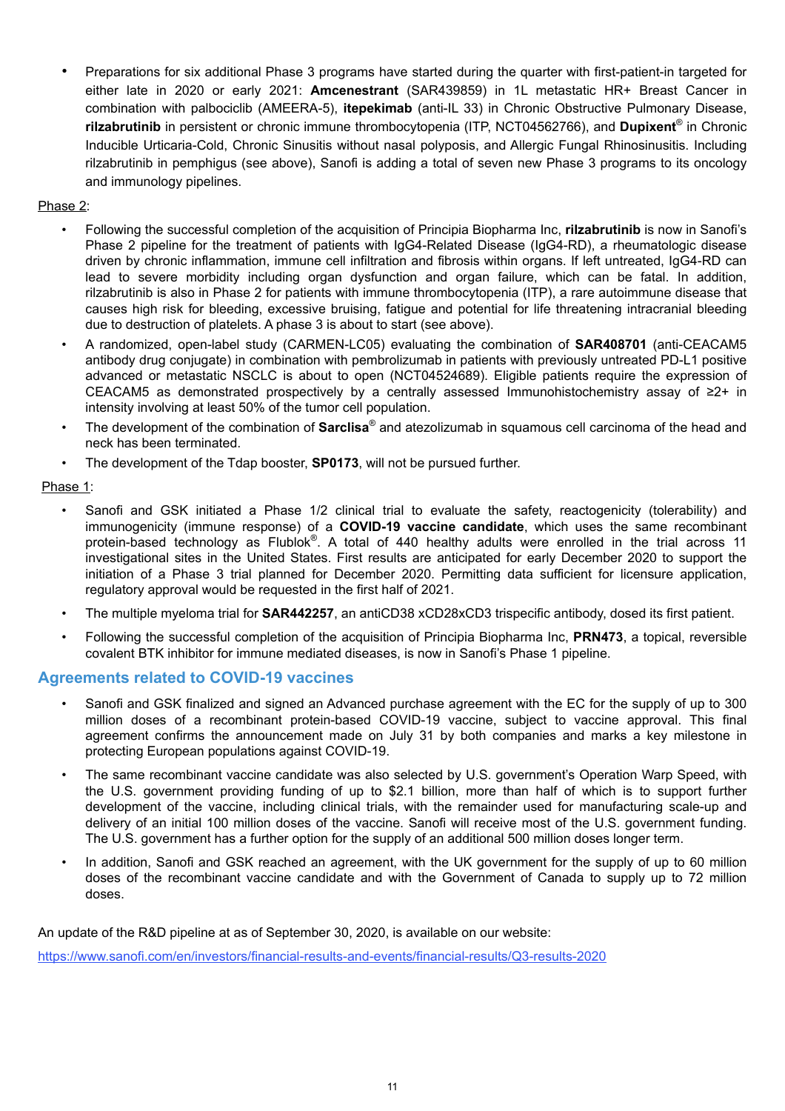• Preparations for six additional Phase 3 programs have started during the quarter with first-patient-in targeted for either late in 2020 or early 2021: **Amcenestrant** (SAR439859) in 1L metastatic HR+ Breast Cancer in combination with palbociclib (AMEERA-5), **itepekimab** (anti-IL 33) in Chronic Obstructive Pulmonary Disease, **rilzabrutinib** in persistent or chronic immune thrombocytopenia (ITP, NCT04562766), and **Dupixent**® in Chronic Inducible Urticaria-Cold, Chronic Sinusitis without nasal polyposis, and Allergic Fungal Rhinosinusitis. Including rilzabrutinib in pemphigus (see above), Sanofi is adding a total of seven new Phase 3 programs to its oncology and immunology pipelines.

#### Phase 2:

- Following the successful completion of the acquisition of Principia Biopharma Inc, **rilzabrutinib** is now in Sanofi's Phase 2 pipeline for the treatment of patients with IgG4-Related Disease (IgG4-RD), a rheumatologic disease driven by chronic inflammation, immune cell infiltration and fibrosis within organs. If left untreated, IgG4-RD can lead to severe morbidity including organ dysfunction and organ failure, which can be fatal. In addition, rilzabrutinib is also in Phase 2 for patients with immune thrombocytopenia (ITP), a rare autoimmune disease that causes high risk for bleeding, excessive bruising, fatigue and potential for life threatening intracranial bleeding due to destruction of platelets. A phase 3 is about to start (see above).
- A randomized, open-label study (CARMEN-LC05) evaluating the combination of **SAR408701** (anti-CEACAM5 antibody drug conjugate) in combination with pembrolizumab in patients with previously untreated PD-L1 positive advanced or metastatic NSCLC is about to open (NCT04524689). Eligible patients require the expression of CEACAM5 as demonstrated prospectively by a centrally assessed Immunohistochemistry assay of ≥2+ in intensity involving at least 50% of the tumor cell population.
- The development of the combination of **Sarclisa**® and atezolizumab in squamous cell carcinoma of the head and neck has been terminated.
- The development of the Tdap booster, **SP0173**, will not be pursued further.

#### Phase 1:

- Sanofi and GSK initiated a Phase 1/2 clinical trial to evaluate the safety, reactogenicity (tolerability) and immunogenicity (immune response) of a **COVID-19 vaccine candidate**, which uses the same recombinant protein-based technology as Flublok®. A total of 440 healthy adults were enrolled in the trial across 11 investigational sites in the United States. First results are anticipated for early December 2020 to support the initiation of a Phase 3 trial planned for December 2020. Permitting data sufficient for licensure application, regulatory approval would be requested in the first half of 2021.
- The multiple myeloma trial for **SAR442257**, an antiCD38 xCD28xCD3 trispecific antibody, dosed its first patient.
- Following the successful completion of the acquisition of Principia Biopharma Inc, **PRN473**, a topical, reversible covalent BTK inhibitor for immune mediated diseases, is now in Sanofi's Phase 1 pipeline.

#### **Agreements related to COVID-19 vaccines**

- Sanofi and GSK finalized and signed an Advanced purchase agreement with the EC for the supply of up to 300 million doses of a recombinant protein-based COVID-19 vaccine, subject to vaccine approval. This final agreement confirms the announcement made on July 31 by both companies and marks a key milestone in protecting European populations against COVID-19.
- The same recombinant vaccine candidate was also selected by U.S. government's Operation Warp Speed, with the U.S. government providing funding of up to \$2.1 billion, more than half of which is to support further development of the vaccine, including clinical trials, with the remainder used for manufacturing scale-up and delivery of an initial 100 million doses of the vaccine. Sanofi will receive most of the U.S. government funding. The U.S. government has a further option for the supply of an additional 500 million doses longer term.
- In addition, Sanofi and GSK reached an agreement, with the UK government for the supply of up to 60 million doses of the recombinant vaccine candidate and with the Government of Canada to supply up to 72 million doses.

An update of the R&D pipeline at as of September 30, 2020, is available on our website:

https://www.sanofi.com/en/investors/financial-results-and-events/financial-results/Q3-results-2020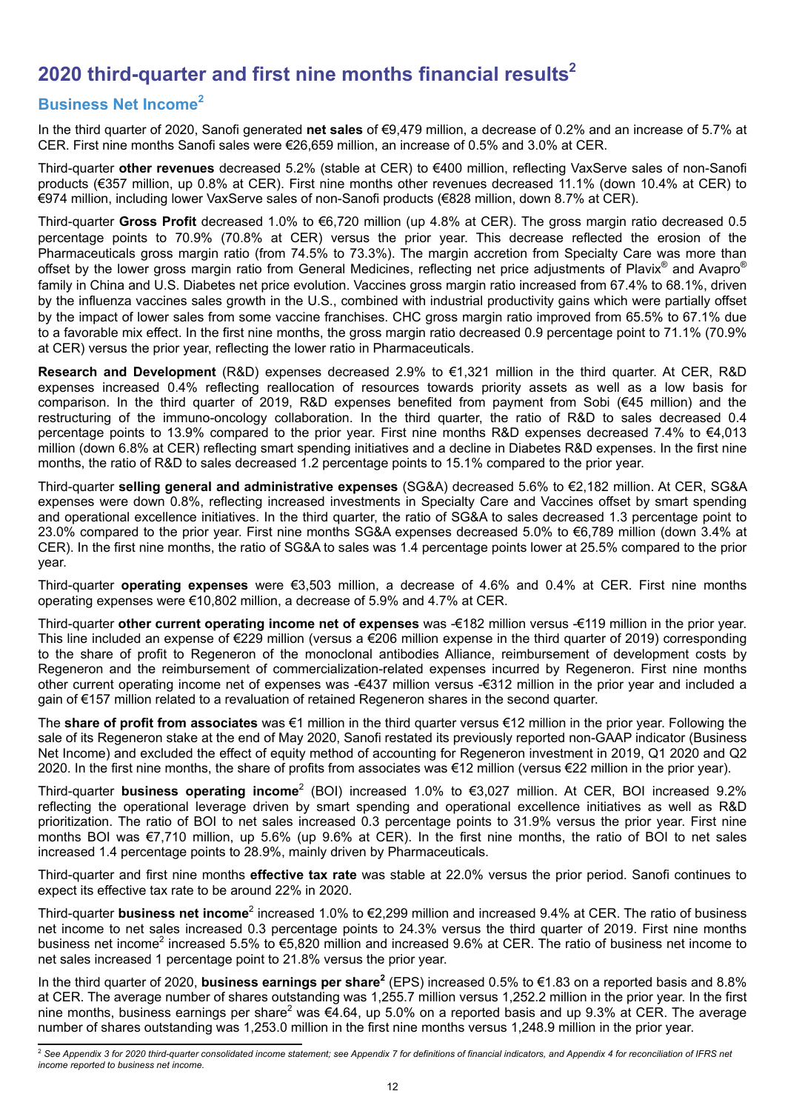# **2020 third-quarter and first nine months financial results<sup>2</sup>**

## **Business Net Income<sup>2</sup>**

In the third quarter of 2020, Sanofi generated **net sales** of €9,479 million, a decrease of 0.2% and an increase of 5.7% at CER. First nine months Sanofi sales were €26,659 million, an increase of 0.5% and 3.0% at CER.

Third-quarter **other revenues** decreased 5.2% (stable at CER) to €400 million, reflecting VaxServe sales of non-Sanofi products (€357 million, up 0.8% at CER). First nine months other revenues decreased 11.1% (down 10.4% at CER) to €974 million, including lower VaxServe sales of non-Sanofi products (€828 million, down 8.7% at CER).

Third-quarter **Gross Profit** decreased 1.0% to €6,720 million (up 4.8% at CER). The gross margin ratio decreased 0.5 percentage points to 70.9% (70.8% at CER) versus the prior year. This decrease reflected the erosion of the Pharmaceuticals gross margin ratio (from 74.5% to 73.3%). The margin accretion from Specialty Care was more than offset by the lower gross margin ratio from General Medicines, reflecting net price adjustments of Plavix® and Avapro® family in China and U.S. Diabetes net price evolution. Vaccines gross margin ratio increased from 67.4% to 68.1%, driven by the influenza vaccines sales growth in the U.S., combined with industrial productivity gains which were partially offset by the impact of lower sales from some vaccine franchises. CHC gross margin ratio improved from 65.5% to 67.1% due to a favorable mix effect. In the first nine months, the gross margin ratio decreased 0.9 percentage point to 71.1% (70.9% at CER) versus the prior year, reflecting the lower ratio in Pharmaceuticals.

**Research and Development** (R&D) expenses decreased 2.9% to €1,321 million in the third quarter. At CER, R&D expenses increased 0.4% reflecting reallocation of resources towards priority assets as well as a low basis for comparison. In the third quarter of 2019, R&D expenses benefited from payment from Sobi (€45 million) and the restructuring of the immuno-oncology collaboration. In the third quarter, the ratio of R&D to sales decreased 0.4 percentage points to 13.9% compared to the prior year. First nine months R&D expenses decreased 7.4% to €4,013 million (down 6.8% at CER) reflecting smart spending initiatives and a decline in Diabetes R&D expenses. In the first nine months, the ratio of R&D to sales decreased 1.2 percentage points to 15.1% compared to the prior year.

Third-quarter **selling general and administrative expenses** (SG&A) decreased 5.6% to €2,182 million. At CER, SG&A expenses were down 0.8%, reflecting increased investments in Specialty Care and Vaccines offset by smart spending and operational excellence initiatives. In the third quarter, the ratio of SG&A to sales decreased 1.3 percentage point to 23.0% compared to the prior year. First nine months SG&A expenses decreased 5.0% to €6,789 million (down 3.4% at CER). In the first nine months, the ratio of SG&A to sales was 1.4 percentage points lower at 25.5% compared to the prior year.

Third-quarter **operating expenses** were €3,503 million, a decrease of 4.6% and 0.4% at CER. First nine months operating expenses were €10,802 million, a decrease of 5.9% and 4.7% at CER.

Third-quarter **other current operating income net of expenses** was -€182 million versus -€119 million in the prior year. This line included an expense of €229 million (versus a €206 million expense in the third quarter of 2019) corresponding to the share of profit to Regeneron of the monoclonal antibodies Alliance, reimbursement of development costs by Regeneron and the reimbursement of commercialization-related expenses incurred by Regeneron. First nine months other current operating income net of expenses was -€437 million versus -€312 million in the prior year and included a gain of €157 million related to a revaluation of retained Regeneron shares in the second quarter.

The **share of profit from associates** was €1 million in the third quarter versus €12 million in the prior year. Following the sale of its Regeneron stake at the end of May 2020, Sanofi restated its previously reported non-GAAP indicator (Business Net Income) and excluded the effect of equity method of accounting for Regeneron investment in 2019, Q1 2020 and Q2 2020. In the first nine months, the share of profits from associates was €12 million (versus €22 million in the prior year).

Third-quarter **business operating income**<sup>2</sup> (BOI) increased 1.0% to €3,027 million. At CER, BOI increased 9.2% reflecting the operational leverage driven by smart spending and operational excellence initiatives as well as R&D prioritization. The ratio of BOI to net sales increased 0.3 percentage points to 31.9% versus the prior year. First nine months BOI was €7,710 million, up 5.6% (up 9.6% at CER). In the first nine months, the ratio of BOI to net sales increased 1.4 percentage points to 28.9%, mainly driven by Pharmaceuticals.

Third-quarter and first nine months **effective tax rate** was stable at 22.0% versus the prior period. Sanofi continues to expect its effective tax rate to be around 22% in 2020.

Third-quarter **business net income**<sup>2</sup> increased 1.0% to €2,299 million and increased 9.4% at CER. The ratio of business net income to net sales increased 0.3 percentage points to 24.3% versus the third quarter of 2019. First nine months business net income<sup>2</sup> increased 5.5% to €5,820 million and increased 9.6% at CER. The ratio of business net income to net sales increased 1 percentage point to 21.8% versus the prior year.

In the third quarter of 2020, **business earnings per share<sup>2</sup>** (EPS) increased 0.5% to €1.83 on a reported basis and 8.8% at CER. The average number of shares outstanding was 1,255.7 million versus 1,252.2 million in the prior year. In the first nine months, business earnings per share<sup>2</sup> was €4.64, up 5.0% on a reported basis and up 9.3% at CER. The average number of shares outstanding was 1,253.0 million in the first nine months versus 1,248.9 million in the prior year.

<sup>&</sup>lt;sup>2</sup> See Appendix 3 for 2020 third-quarter consolidated income statement; see Appendix 7 for definitions of financial indicators, and Appendix 4 for reconciliation of IFRS net *income reported to business net income.*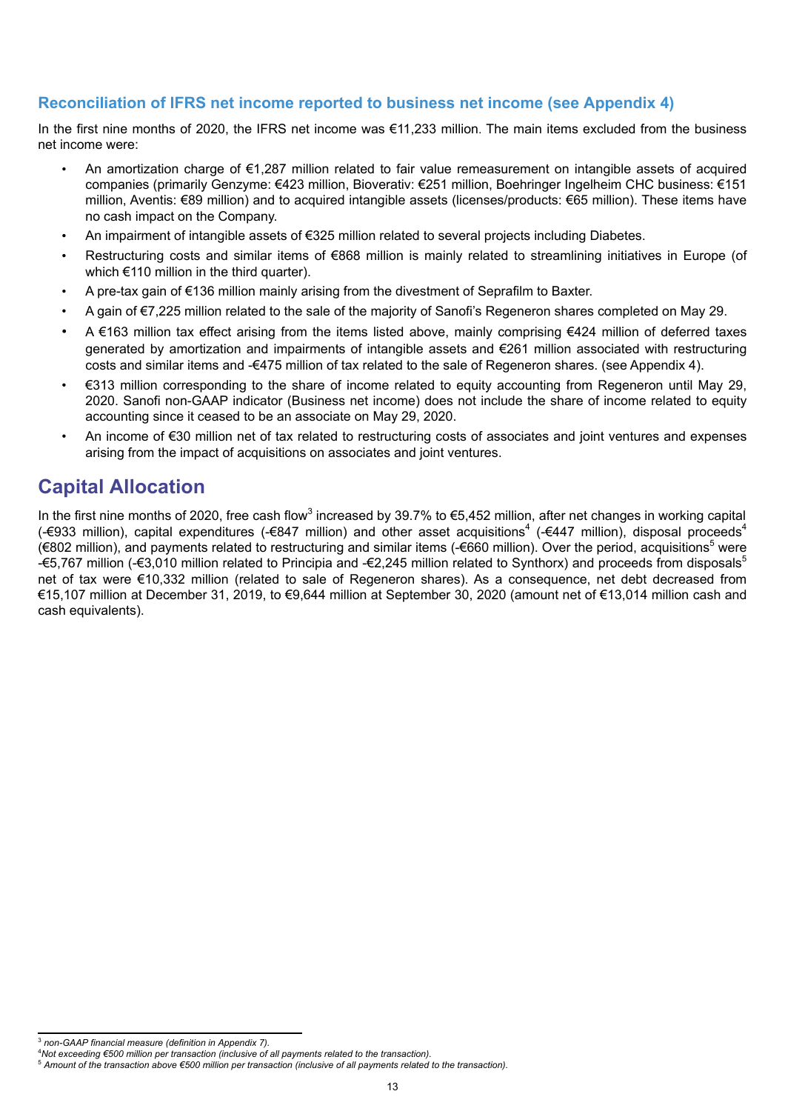## **Reconciliation of IFRS net income reported to business net income (see Appendix 4)**

In the first nine months of 2020, the IFRS net income was €11,233 million. The main items excluded from the business net income were:

- An amortization charge of €1,287 million related to fair value remeasurement on intangible assets of acquired companies (primarily Genzyme: €423 million, Bioverativ: €251 million, Boehringer Ingelheim CHC business: €151 million, Aventis: €89 million) and to acquired intangible assets (licenses/products: €65 million). These items have no cash impact on the Company.
- An impairment of intangible assets of €325 million related to several projects including Diabetes.
- Restructuring costs and similar items of €868 million is mainly related to streamlining initiatives in Europe (of which €110 million in the third quarter).
- A pre-tax gain of €136 million mainly arising from the divestment of Seprafilm to Baxter.
- A gain of €7,225 million related to the sale of the majority of Sanofi's Regeneron shares completed on May 29.
- A €163 million tax effect arising from the items listed above, mainly comprising €424 million of deferred taxes generated by amortization and impairments of intangible assets and €261 million associated with restructuring costs and similar items and -€475 million of tax related to the sale of Regeneron shares. (see Appendix 4).
- €313 million corresponding to the share of income related to equity accounting from Regeneron until May 29, 2020. Sanofi non-GAAP indicator (Business net income) does not include the share of income related to equity accounting since it ceased to be an associate on May 29, 2020.
- An income of €30 million net of tax related to restructuring costs of associates and joint ventures and expenses arising from the impact of acquisitions on associates and joint ventures.

# **Capital Allocation**

In the first nine months of 2020, free cash flow<sup>3</sup> increased by 39.7% to €5,452 million, after net changes in working capital (-€933 million), capital expenditures (-€847 million) and other asset acquisitions<sup>4</sup> (-€447 million), disposal proceeds<sup>4</sup> (€802 million), and payments related to restructuring and similar items (-€660 million). Over the period, acquisitions<sup>5</sup> were -€5,767 million (-€3,010 million related to Principia and -€2,245 million related to Synthorx) and proceeds from disposals<sup>5</sup> net of tax were €10,332 million (related to sale of Regeneron shares). As a consequence, net debt decreased from €15,107 million at December 31, 2019, to €9,644 million at September 30, 2020 (amount net of €13,014 million cash and cash equivalents).

<sup>3</sup> *non-GAAP financial measure (definition in Appendix 7).*

<sup>4</sup>*Not exceeding €500 million per transaction (inclusive of all payments related to the transaction).* 

<sup>5</sup> *Amount of the transaction above €500 million per transaction (inclusive of all payments related to the transaction).*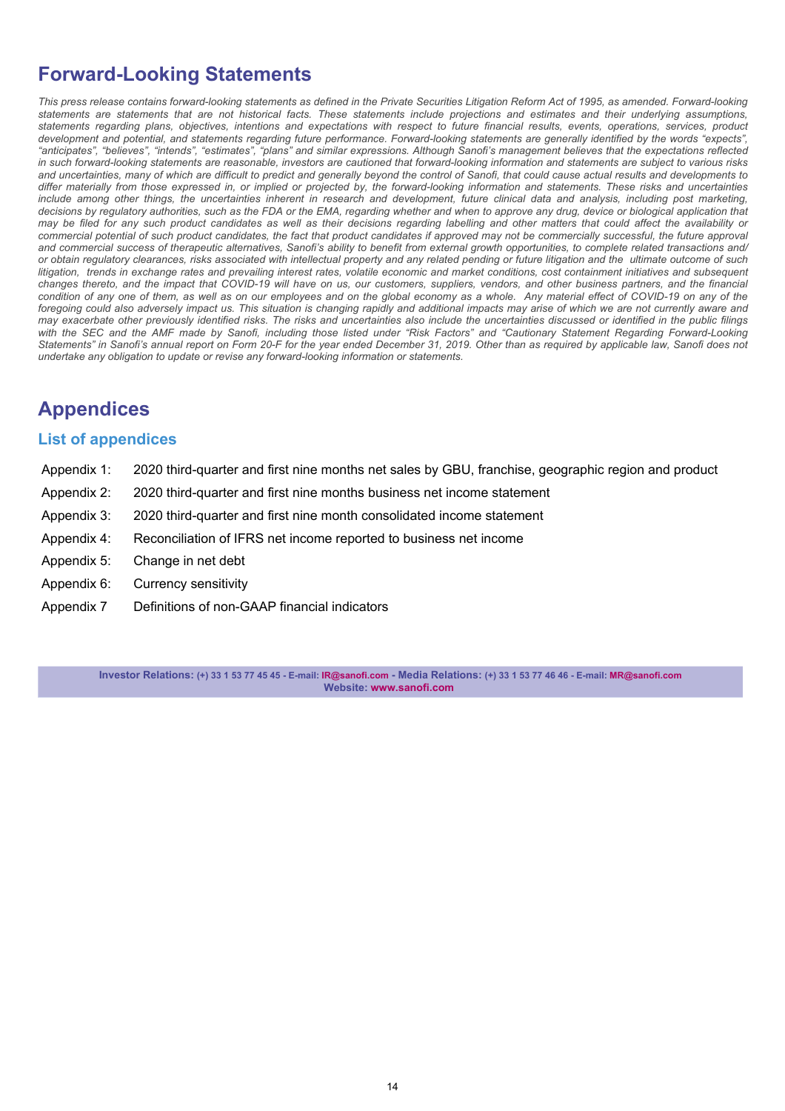# **Forward-Looking Statements**

This press release contains forward-looking statements as defined in the Private Securities Litigation Reform Act of 1995, as amended. Forward-looking *statements are statements that are not historical facts. These statements include projections and estimates and their underlying assumptions, statements regarding plans, objectives, intentions and expectations with respect to future financial results, events, operations, services, product development and potential, and statements regarding future performance. Forward-looking statements are generally identified by the words "expects", "anticipates", "believes", "intends", "estimates", "plans" and similar expressions. Although Sanofi's management believes that the expectations reflected in such forward-looking statements are reasonable, investors are cautioned that forward-looking information and statements are subject to various risks and uncertainties, many of which are difficult to predict and generally beyond the control of Sanofi, that could cause actual results and developments to differ materially from those expressed in, or implied or projected by, the forward-looking information and statements. These risks and uncertainties*  include among other things, the uncertainties inherent in research and development, future clinical data and analysis, including post marketing, decisions by regulatory authorities, such as the FDA or the EMA, regarding whether and when to approve any drug, device or biological application that *may be filed for any such product candidates as well as their decisions regarding labelling and other matters that could affect the availability or*  commercial potential of such product candidates, the fact that product candidates if approved may not be commercially successful, the future approval *and commercial success of therapeutic alternatives, Sanofi's ability to benefit from external growth opportunities, to complete related transactions and/ or obtain regulatory clearances, risks associated with intellectual property and any related pending or future litigation and the ultimate outcome of such litigation, trends in exchange rates and prevailing interest rates, volatile economic and market conditions, cost containment initiatives and subsequent changes thereto, and the impact that COVID-19 will have on us, our customers, suppliers, vendors, and other business partners, and the financial*  condition of any one of them, as well as on our employees and on the global economy as a whole. Any material effect of COVID-19 on any of the foregoing could also adversely impact us. This situation is changing rapidly and additional impacts may arise of which we are not currently aware and *may exacerbate other previously identified risks. The risks and uncertainties also include the uncertainties discussed or identified in the public filings with the SEC and the AMF made by Sanofi, including those listed under "Risk Factors" and "Cautionary Statement Regarding Forward-Looking Statements" in Sanofi's annual report on Form 20-F for the year ended December 31, 2019. Other than as required by applicable law, Sanofi does not undertake any obligation to update or revise any forward-looking information or statements.*

# **Appendices**

### **List of appendices**

- [Appendix 1:](#page-14-0) [2020 third-quarter and first nine months net sales by GBU, franchise, geographic region and product](#page-14-0)
- [Appendix 2:](#page-16-0) [2020 third-quarter](#page-16-0) [and first nine months](#page-14-0) [business net income statement](#page-16-0)
- [Appendix 3:](#page-18-0) [2020 third-quarter](#page-18-0) [and first nine month](#page-14-0) [consolidated income statement](#page-18-0)
- [Appendix 4:](#page-19-0) [Reconciliation of IFRS net income reported to business net income](#page-19-0)
- [Appendix 5:](#page-20-0) [Change in net debt](#page-20-0)
- Appendix 6: Currency sensitivity
- [Appendix 7](#page-22-0) [Definitions of non-GAAP financial indicators](#page-22-0)

**Investor Relations: (+) 33 1 53 77 45 45 - E-mail: IR@sanofi.com - Media Relations: (+) 33 1 53 77 46 46 - E-mail: MR@sanofi.com Website: www.sanofi.com**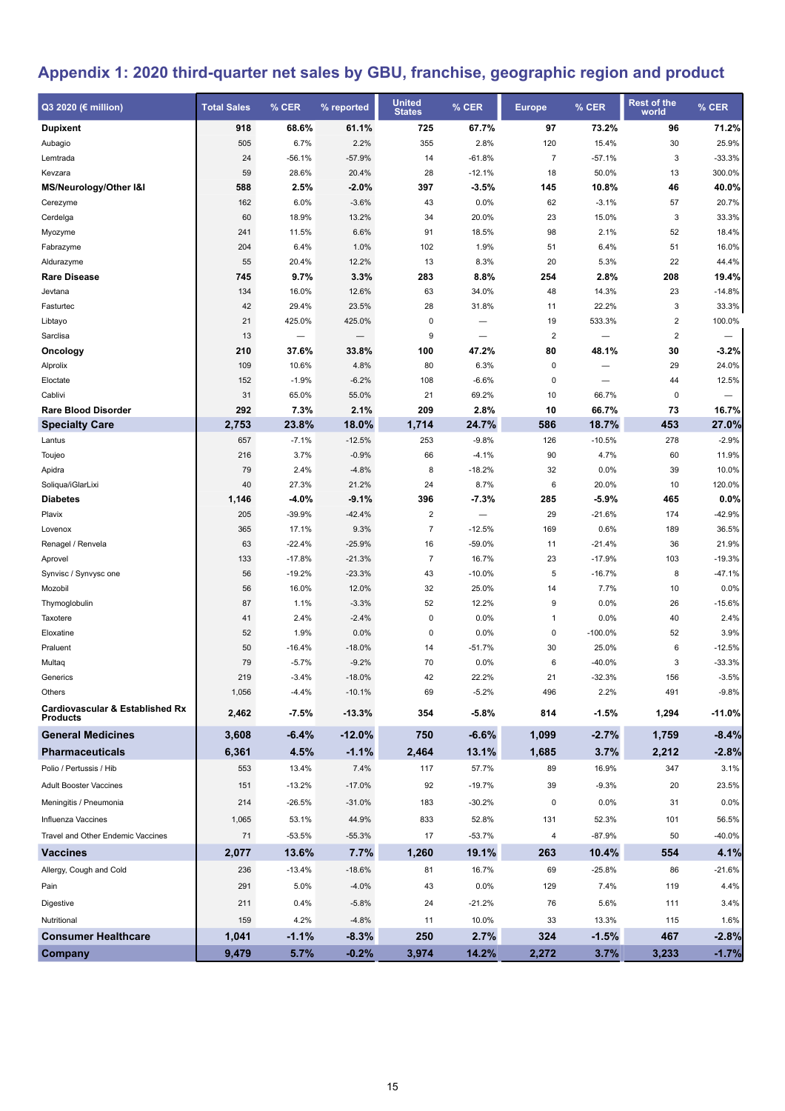# <span id="page-14-0"></span>**Appendix 1: 2020 third-quarter net sales by GBU, franchise, geographic region and product**

| Q3 2020 (€ million)                        | <b>Total Sales</b> | % CER                    | % reported       | <b>United</b><br><b>States</b> | % CER                    | <b>Europe</b>  | % CER                    | <b>Rest of the</b><br>world | % CER            |
|--------------------------------------------|--------------------|--------------------------|------------------|--------------------------------|--------------------------|----------------|--------------------------|-----------------------------|------------------|
| <b>Dupixent</b>                            | 918                | 68.6%                    | 61.1%            | 725                            | 67.7%                    | 97             | 73.2%                    | 96                          | 71.2%            |
| Aubagio                                    | 505                | 6.7%                     | 2.2%             | 355                            | 2.8%                     | 120            | 15.4%                    | 30                          | 25.9%            |
| Lemtrada                                   | 24                 | $-56.1%$                 | $-57.9%$         | 14                             | $-61.8%$                 | $\overline{7}$ | $-57.1%$                 | 3                           | $-33.3%$         |
| Kevzara                                    | 59                 | 28.6%                    | 20.4%            | 28                             | $-12.1%$                 | 18             | 50.0%                    | 13                          | 300.0%           |
| MS/Neurology/Other I&I                     | 588                | 2.5%                     | $-2.0%$          | 397                            | $-3.5%$                  | 145            | 10.8%                    | 46                          | 40.0%            |
| Cerezyme                                   | 162                | 6.0%                     | $-3.6%$          | 43                             | 0.0%                     | 62             | $-3.1%$                  | 57                          | 20.7%            |
| Cerdelga                                   | 60                 | 18.9%                    | 13.2%            | 34                             | 20.0%                    | 23             | 15.0%                    | 3                           | 33.3%            |
| Myozyme                                    | 241                | 11.5%                    | 6.6%             | 91                             | 18.5%                    | 98             | 2.1%                     | 52                          | 18.4%            |
| Fabrazyme                                  | 204                | 6.4%                     | 1.0%             | 102                            | 1.9%                     | 51             | 6.4%                     | 51                          | 16.0%            |
| Aldurazyme                                 | 55                 | 20.4%                    | 12.2%            | 13                             | 8.3%                     | 20             | 5.3%                     | 22                          | 44.4%            |
| <b>Rare Disease</b>                        | 745                | 9.7%                     | 3.3%             | 283                            | 8.8%                     | 254            | 2.8%                     | 208                         | 19.4%            |
| Jevtana                                    | 134                | 16.0%                    | 12.6%            | 63                             | 34.0%                    | 48             | 14.3%                    | 23                          | $-14.8%$         |
| Fasturtec                                  | 42                 | 29.4%                    | 23.5%            | 28                             | 31.8%                    | 11             | 22.2%                    | 3                           | 33.3%            |
| Libtayo                                    | 21                 | 425.0%                   | 425.0%           | 0                              |                          | 19             | 533.3%                   | $\overline{2}$              | 100.0%           |
| Sarclisa                                   | 13                 | $\overline{\phantom{0}}$ |                  | 9                              | $\overline{\phantom{0}}$ | $\overline{2}$ | $\overline{\phantom{0}}$ | $\overline{2}$              |                  |
| Oncology                                   | 210                | 37.6%                    | 33.8%            | 100                            | 47.2%                    | 80             | 48.1%                    | 30                          | $-3.2%$          |
| Alprolix                                   | 109                | 10.6%                    | 4.8%             | 80                             | 6.3%                     | 0              | $\overline{\phantom{0}}$ | 29                          | 24.0%            |
| Eloctate                                   | 152                | $-1.9%$                  | $-6.2%$          | 108                            | $-6.6%$                  | 0              |                          | 44                          | 12.5%            |
| Cablivi                                    | 31                 | 65.0%                    | 55.0%            | 21                             | 69.2%                    | 10             | 66.7%                    | 0                           | -                |
| <b>Rare Blood Disorder</b>                 | 292                | 7.3%                     | 2.1%             | 209                            | 2.8%                     | 10             | 66.7%                    | 73                          | 16.7%            |
| <b>Specialty Care</b>                      | 2,753              | 23.8%                    | 18.0%            | 1,714                          | 24.7%                    | 586            | 18.7%                    | 453                         | 27.0%            |
| Lantus                                     | 657                | $-7.1%$                  | $-12.5%$         | 253                            | $-9.8%$                  | 126            | $-10.5%$                 | 278                         | $-2.9%$          |
| Toujeo                                     | 216                | 3.7%                     | $-0.9%$          | 66                             | $-4.1%$                  | 90             | 4.7%                     | 60                          | 11.9%            |
| Apidra                                     | 79                 | 2.4%                     | $-4.8%$          | 8                              | $-18.2%$                 | 32             | 0.0%                     | 39                          | 10.0%            |
| Soliqua/iGlarLixi                          | 40                 | 27.3%                    | 21.2%            | 24                             | 8.7%                     | 6              | 20.0%                    | 10                          | 120.0%           |
| <b>Diabetes</b>                            | 1,146              | -4.0%                    | $-9.1%$          | 396                            | -7.3%                    | 285            | $-5.9%$                  | 465                         | 0.0%             |
| Plavix                                     | 205                | $-39.9%$                 | $-42.4%$         | $\mathbf 2$                    |                          | 29             | $-21.6%$                 | 174                         | $-42.9%$         |
| Lovenox                                    | 365                | 17.1%                    | 9.3%             | $\overline{7}$                 | $-12.5%$                 | 169            | 0.6%                     | 189                         | 36.5%            |
| Renagel / Renvela                          | 63                 | $-22.4%$                 | $-25.9%$         | 16                             | $-59.0%$                 | 11             | $-21.4%$                 | 36                          | 21.9%            |
| Aprovel                                    | 133                | $-17.8%$                 | $-21.3%$         | $\overline{7}$                 | 16.7%                    | 23             | $-17.9%$                 | 103                         | $-19.3%$         |
| Synvisc / Synvysc one                      | 56                 | $-19.2%$                 | $-23.3%$         | 43                             | $-10.0%$                 | 5              | $-16.7%$                 | 8<br>10                     | $-47.1%$         |
| Mozobil<br>Thymoglobulin                   | 56<br>87           | 16.0%<br>1.1%            | 12.0%<br>$-3.3%$ | 32<br>52                       | 25.0%<br>12.2%           | 14<br>9        | 7.7%<br>0.0%             | 26                          | 0.0%<br>$-15.6%$ |
| Taxotere                                   | 41                 | 2.4%                     | $-2.4%$          | $\bf 0$                        | 0.0%                     | $\mathbf{1}$   | 0.0%                     | 40                          | 2.4%             |
| Eloxatine                                  | 52                 | 1.9%                     | 0.0%             | $\bf 0$                        | 0.0%                     | 0              | $-100.0%$                | 52                          | 3.9%             |
| Praluent                                   | 50                 | -16.4%                   | $-18.0%$         | 14                             | $-51.7%$                 | 30             | 25.0%                    | 6                           | $-12.5%$         |
| Multaq                                     | 79                 | $-5.7%$                  | $-9.2%$          | 70                             | 0.0%                     | 6              | $-40.0%$                 | 3                           | $-33.3%$         |
| Generics                                   | 219                | $-3.4%$                  | $-18.0%$         | 42                             | 22.2%                    | 21             | $-32.3%$                 | 156                         | $-3.5%$          |
| Others                                     | 1,056              | $-4.4%$                  | $-10.1%$         | 69                             | $-5.2\%$                 | 496            | 2.2%                     | 491                         | $-9.8%$          |
| <b>Cardiovascular &amp; Established Rx</b> |                    |                          |                  |                                |                          |                |                          |                             |                  |
| <b>Products</b>                            | 2,462              | -7.5%                    | $-13.3%$         | 354                            | -5.8%                    | 814            | $-1.5%$                  | 1,294                       | -11.0%           |
| <b>General Medicines</b>                   | 3,608              | -6.4%                    | $-12.0%$         | 750                            | $-6.6%$                  | 1,099          | $-2.7%$                  | 1,759                       | $-8.4%$          |
| <b>Pharmaceuticals</b>                     | 6,361              | 4.5%                     | $-1.1%$          | 2,464                          | 13.1%                    | 1,685          | 3.7%                     | 2,212                       | $-2.8%$          |
| Polio / Pertussis / Hib                    | 553                | 13.4%                    | 7.4%             | 117                            | 57.7%                    | 89             | 16.9%                    | 347                         | 3.1%             |
| Adult Booster Vaccines                     | 151                | $-13.2%$                 | $-17.0%$         | 92                             | $-19.7%$                 | 39             | $-9.3%$                  | 20                          | 23.5%            |
| Meningitis / Pneumonia                     | 214                | $-26.5%$                 | $-31.0%$         | 183                            | $-30.2%$                 | 0              | 0.0%                     | 31                          | 0.0%             |
| Influenza Vaccines                         | 1,065              | 53.1%                    | 44.9%            | 833                            | 52.8%                    | 131            | 52.3%                    | 101                         | 56.5%            |
| Travel and Other Endemic Vaccines          | 71                 | $-53.5%$                 | $-55.3%$         | 17                             | $-53.7%$                 | 4              | $-87.9%$                 | 50                          | $-40.0%$         |
| <b>Vaccines</b>                            | 2,077              | 13.6%                    | 7.7%             | 1,260                          | 19.1%                    | 263            | 10.4%                    | 554                         | 4.1%             |
| Allergy, Cough and Cold                    | 236                | $-13.4%$                 | $-18.6%$         | 81                             | 16.7%                    | 69             | $-25.8%$                 | 86                          | $-21.6%$         |
| Pain                                       | 291                | 5.0%                     | $-4.0%$          | 43                             | 0.0%                     | 129            | 7.4%                     | 119                         | 4.4%             |
| Digestive                                  | 211                | 0.4%                     | $-5.8%$          | 24                             | $-21.2%$                 | 76             | 5.6%                     | 111                         | 3.4%             |
|                                            |                    |                          |                  |                                |                          |                |                          |                             |                  |
| Nutritional                                | 159                | 4.2%                     | $-4.8%$          | 11                             | 10.0%                    | 33             | 13.3%                    | 115                         | 1.6%             |
| <b>Consumer Healthcare</b>                 | 1,041              | $-1.1%$                  | $-8.3%$          | 250                            | 2.7%                     | 324            | $-1.5%$                  | 467                         | $-2.8%$          |
| Company                                    | 9,479              | 5.7%                     | $-0.2%$          | 3,974                          | 14.2%                    | 2,272          | 3.7%                     | 3,233                       | $-1.7%$          |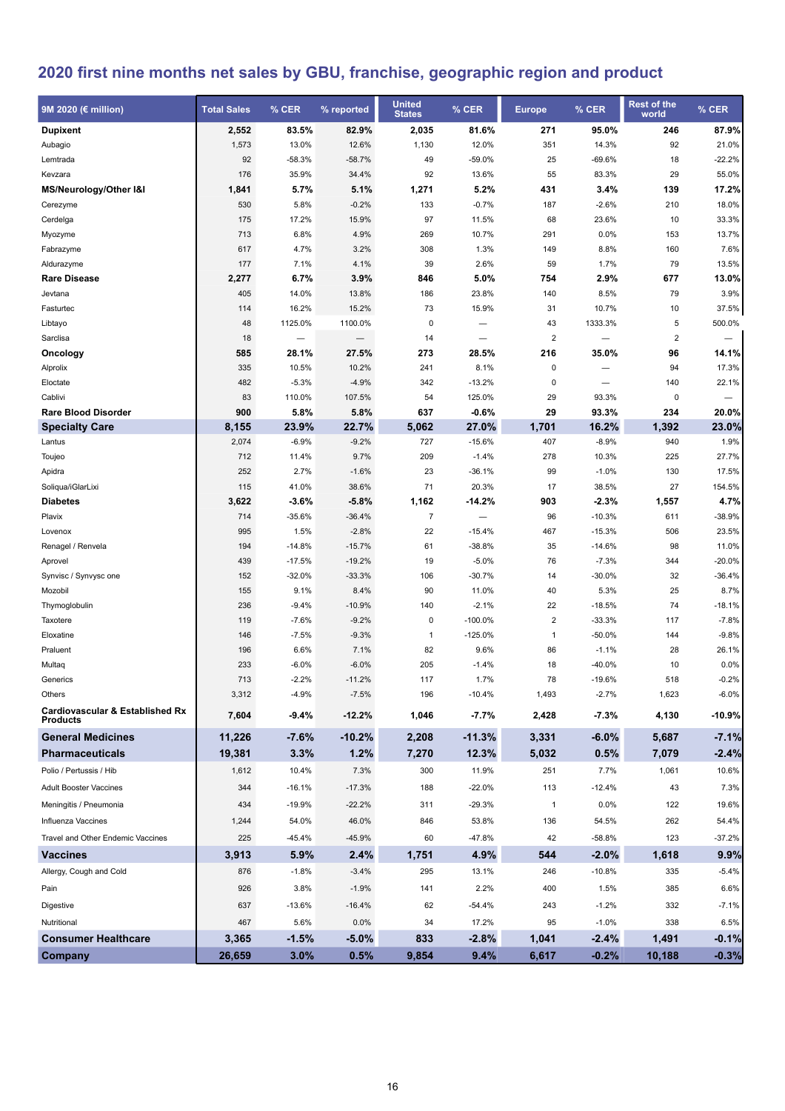# **2020 first nine months net sales by GBU, franchise, geographic region and product**

| 9M 2020 (€ million)                                           | <b>Total Sales</b> | % CER    | % reported | <b>United</b><br><b>States</b> | % CER                    | <b>Europe</b>  | % CER                    | <b>Rest of the</b><br>world | % CER                    |
|---------------------------------------------------------------|--------------------|----------|------------|--------------------------------|--------------------------|----------------|--------------------------|-----------------------------|--------------------------|
| <b>Dupixent</b>                                               | 2,552              | 83.5%    | 82.9%      | 2,035                          | 81.6%                    | 271            | 95.0%                    | 246                         | 87.9%                    |
| Aubagio                                                       | 1,573              | 13.0%    | 12.6%      | 1,130                          | 12.0%                    | 351            | 14.3%                    | 92                          | 21.0%                    |
| Lemtrada                                                      | 92                 | $-58.3%$ | $-58.7%$   | 49                             | $-59.0%$                 | 25             | $-69.6%$                 | 18                          | $-22.2%$                 |
| Kevzara                                                       | 176                | 35.9%    | 34.4%      | 92                             | 13.6%                    | 55             | 83.3%                    | 29                          | 55.0%                    |
| MS/Neurology/Other I&I                                        | 1,841              | 5.7%     | 5.1%       | 1,271                          | 5.2%                     | 431            | 3.4%                     | 139                         | 17.2%                    |
| Cerezyme                                                      | 530                | 5.8%     | $-0.2%$    | 133                            | $-0.7%$                  | 187            | $-2.6%$                  | 210                         | 18.0%                    |
| Cerdelga                                                      | 175                | 17.2%    | 15.9%      | 97                             | 11.5%                    | 68             | 23.6%                    | 10                          | 33.3%                    |
| Myozyme                                                       | 713                | 6.8%     | 4.9%       | 269                            | 10.7%                    | 291            | 0.0%                     | 153                         | 13.7%                    |
| Fabrazyme                                                     | 617                | 4.7%     | 3.2%       | 308                            | 1.3%                     | 149            | 8.8%                     | 160                         | 7.6%                     |
| Aldurazyme                                                    | 177                | 7.1%     | 4.1%       | 39                             | 2.6%                     | 59             | 1.7%                     | 79                          | 13.5%                    |
| <b>Rare Disease</b>                                           | 2,277              | 6.7%     | 3.9%       | 846                            | 5.0%                     | 754            | 2.9%                     | 677                         | 13.0%                    |
| Jevtana                                                       | 405                | 14.0%    | 13.8%      | 186                            | 23.8%                    | 140            | 8.5%                     | 79                          | 3.9%                     |
| Fasturtec                                                     | 114                | 16.2%    | 15.2%      | 73                             | 15.9%                    | 31             | 10.7%                    | 10                          | 37.5%                    |
| Libtayo                                                       | 48                 | 1125.0%  | 1100.0%    | 0                              |                          | 43             | 1333.3%                  | 5                           | 500.0%                   |
| Sarclisa                                                      | 18                 |          | —          | 14                             | $\overline{\phantom{0}}$ | $\overline{2}$ | $\overline{\phantom{0}}$ | $\overline{2}$              |                          |
| Oncology                                                      | 585                | 28.1%    | 27.5%      | 273                            | 28.5%                    | 216            | 35.0%                    | 96                          | 14.1%                    |
| Alprolix                                                      | 335                | 10.5%    | 10.2%      | 241                            | 8.1%                     | $\pmb{0}$      |                          | 94                          | 17.3%                    |
| Eloctate                                                      | 482                | $-5.3%$  | $-4.9%$    | 342                            | $-13.2%$                 | $\mathbf 0$    |                          | 140                         | 22.1%                    |
| Cablivi                                                       | 83                 | 110.0%   | 107.5%     | 54                             | 125.0%                   | 29             | 93.3%                    | 0                           | $\overline{\phantom{0}}$ |
| <b>Rare Blood Disorder</b>                                    | 900                | 5.8%     | 5.8%       | 637                            | $-0.6%$                  | 29             | 93.3%                    | 234                         | 20.0%                    |
| <b>Specialty Care</b>                                         | 8,155              | 23.9%    | 22.7%      | 5,062                          | 27.0%                    | 1,701          | 16.2%                    | 1,392                       | 23.0%                    |
| Lantus                                                        | 2,074              | $-6.9%$  | $-9.2%$    | 727                            | $-15.6%$                 | 407            | $-8.9%$                  | 940                         | 1.9%                     |
| Toujeo                                                        | 712                | 11.4%    | 9.7%       | 209                            | $-1.4%$                  | 278            | 10.3%                    | 225                         | 27.7%                    |
| Apidra                                                        | 252                | 2.7%     | $-1.6%$    | 23                             | $-36.1%$                 | 99             | $-1.0%$                  | 130                         | 17.5%                    |
| Soliqua/iGlarLixi                                             | 115                | 41.0%    | 38.6%      | 71                             | 20.3%                    | 17             | 38.5%                    | 27                          | 154.5%                   |
| <b>Diabetes</b>                                               | 3,622              | $-3.6%$  | $-5.8%$    | 1,162                          | $-14.2%$                 | 903            | $-2.3%$                  | 1,557                       | 4.7%                     |
| Plavix                                                        | 714                | $-35.6%$ | $-36.4%$   | $\overline{7}$                 | $\qquad \qquad -$        | 96             | $-10.3%$                 | 611                         | $-38.9%$                 |
| Lovenox                                                       | 995                | 1.5%     | $-2.8%$    | 22                             | $-15.4%$                 | 467            | $-15.3%$                 | 506                         | 23.5%                    |
| Renagel / Renvela                                             | 194                | $-14.8%$ | $-15.7%$   | 61                             | $-38.8%$                 | 35             | $-14.6%$                 | 98                          | 11.0%                    |
| Aprovel                                                       | 439                | $-17.5%$ | $-19.2%$   | 19                             | $-5.0%$                  | 76             | $-7.3%$                  | 344                         | $-20.0%$                 |
| Synvisc / Synvysc one                                         | 152                | $-32.0%$ | $-33.3%$   | 106                            | $-30.7%$                 | 14             | $-30.0%$                 | 32                          | $-36.4%$                 |
| Mozobil                                                       | 155                | 9.1%     | 8.4%       | 90                             | 11.0%                    | 40             | 5.3%                     | 25                          | 8.7%                     |
| Thymoglobulin                                                 | 236                | $-9.4%$  | $-10.9%$   | 140                            | $-2.1%$                  | 22             | $-18.5%$                 | 74                          | $-18.1%$                 |
| Taxotere                                                      | 119                | $-7.6%$  | $-9.2%$    | 0                              | $-100.0%$                | $\sqrt{2}$     | $-33.3%$                 | 117                         | $-7.8%$                  |
| Eloxatine                                                     | 146                | $-7.5%$  | $-9.3%$    | $\mathbf{1}$                   | $-125.0%$                | $\mathbf{1}$   | $-50.0%$                 | 144                         | $-9.8%$                  |
| Praluent                                                      | 196                | 6.6%     | 7.1%       | 82                             | 9.6%                     | 86             | $-1.1%$                  | 28                          | 26.1%                    |
| Multaq                                                        | 233                | $-6.0%$  | $-6.0%$    | 205                            | $-1.4%$                  | 18             | $-40.0%$                 | 10                          | 0.0%                     |
| Generics                                                      | 713                | $-2.2%$  | $-11.2%$   | 117                            | 1.7%                     | 78             | $-19.6%$                 | 518                         | $-0.2%$                  |
| Others                                                        | 3,312              | $-4.9%$  | $-7.5%$    | 196                            | $-10.4%$                 | 1,493          | $-2.7%$                  | 1,623                       | $-6.0%$                  |
| <b>Cardiovascular &amp; Established Rx</b><br><b>Products</b> | 7,604              | $-9.4%$  | -12.2%     | 1,046                          | $-7.7%$                  | 2,428          | $-7.3%$                  | 4,130                       | -10.9%                   |
| <b>General Medicines</b>                                      | 11,226             | $-7.6%$  | $-10.2%$   | 2,208                          | $-11.3%$                 | 3,331          | $-6.0%$                  | 5,687                       | $-7.1%$                  |
| <b>Pharmaceuticals</b>                                        | 19,381             | 3.3%     | 1.2%       | 7,270                          | 12.3%                    | 5,032          | 0.5%                     | 7,079                       | $-2.4%$                  |
| Polio / Pertussis / Hib                                       | 1,612              | 10.4%    | 7.3%       | 300                            | 11.9%                    | 251            | 7.7%                     | 1,061                       | 10.6%                    |
| <b>Adult Booster Vaccines</b>                                 | 344                | $-16.1%$ | $-17.3%$   | 188                            | $-22.0%$                 | 113            | $-12.4%$                 | 43                          | 7.3%                     |
| Meningitis / Pneumonia                                        | 434                | -19.9%   | $-22.2%$   | 311                            | $-29.3%$                 | $\mathbf{1}$   | 0.0%                     | 122                         | 19.6%                    |
| Influenza Vaccines                                            | 1,244              | 54.0%    | 46.0%      | 846                            | 53.8%                    | 136            | 54.5%                    | 262                         | 54.4%                    |
| Travel and Other Endemic Vaccines                             | 225                | $-45.4%$ | -45.9%     | 60                             | $-47.8%$                 | 42             | $-58.8%$                 | 123                         | $-37.2%$                 |
| <b>Vaccines</b>                                               | 3,913              | 5.9%     | 2.4%       | 1,751                          | 4.9%                     | 544            | $-2.0%$                  | 1,618                       | 9.9%                     |
| Allergy, Cough and Cold                                       | 876                | $-1.8%$  | $-3.4%$    | 295                            | 13.1%                    | 246            | $-10.8%$                 | 335                         | $-5.4%$                  |
| Pain                                                          | 926                | 3.8%     | $-1.9%$    | 141                            | 2.2%                     | 400            | 1.5%                     | 385                         | 6.6%                     |
| Digestive                                                     | 637                | $-13.6%$ | $-16.4%$   | 62                             | $-54.4%$                 | 243            | $-1.2%$                  | 332                         | $-7.1%$                  |
| Nutritional                                                   | 467                | 5.6%     | 0.0%       | 34                             | 17.2%                    | 95             | $-1.0%$                  | 338                         | 6.5%                     |
| <b>Consumer Healthcare</b>                                    | 3,365              | $-1.5%$  | $-5.0%$    | 833                            | $-2.8%$                  | 1,041          | $-2.4%$                  | 1,491                       | $-0.1%$                  |
| Company                                                       | 26,659             | 3.0%     | 0.5%       | 9,854                          | 9.4%                     | 6,617          | $-0.2%$                  | 10,188                      | $-0.3%$                  |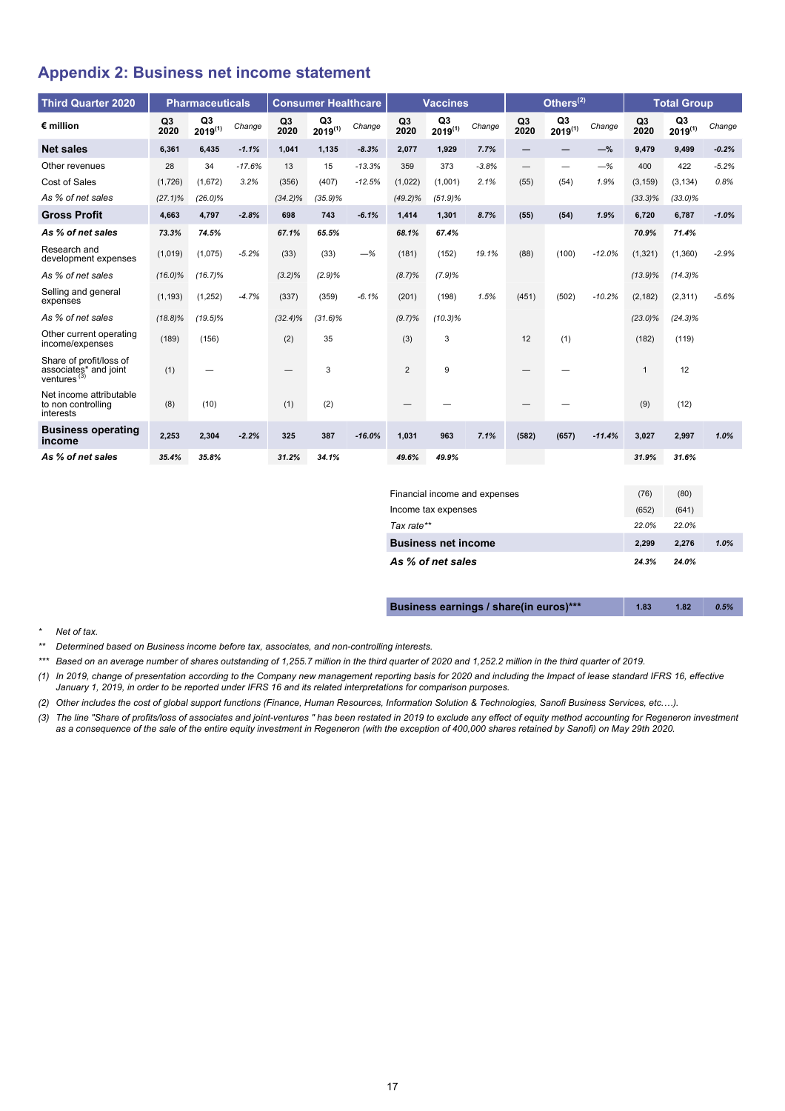### <span id="page-16-0"></span>**Appendix 2: Business net income statement**

| <b>Third Quarter 2020</b>                                          |            | <b>Pharmaceuticals</b>         |          |                        | <b>Consumer Healthcare</b>     |          |            | <b>Vaccines</b>                |         |                                 | Others $^{(2)}$    |          |                        | <b>Total Group</b> |         |
|--------------------------------------------------------------------|------------|--------------------------------|----------|------------------------|--------------------------------|----------|------------|--------------------------------|---------|---------------------------------|--------------------|----------|------------------------|--------------------|---------|
| $\epsilon$ million                                                 | Q3<br>2020 | Q <sub>3</sub><br>$2019^{(1)}$ | Change   | Q <sub>3</sub><br>2020 | Q <sub>3</sub><br>$2019^{(1)}$ | Change   | Q3<br>2020 | Q <sub>3</sub><br>$2019^{(1)}$ | Change  | Q <sub>3</sub><br>2020          | Q3<br>$2019^{(1)}$ | Change   | Q <sub>3</sub><br>2020 | Q3<br>$2019^{(1)}$ | Change  |
| <b>Net sales</b>                                                   | 6.361      | 6.435                          | $-1.1%$  | 1,041                  | 1,135                          | $-8.3%$  | 2.077      | 1.929                          | 7.7%    | $\qquad \qquad -$               | —                  | $-\%$    | 9.479                  | 9.499              | $-0.2%$ |
| Other revenues                                                     | 28         | 34                             | $-17.6%$ | 13                     | 15                             | $-13.3%$ | 359        | 373                            | $-3.8%$ | $\hspace{0.1mm}-\hspace{0.1mm}$ | —                  | $-%$     | 400                    | 422                | $-5.2%$ |
| Cost of Sales                                                      | (1,726)    | (1,672)                        | 3.2%     | (356)                  | (407)                          | $-12.5%$ | (1,022)    | (1,001)                        | 2.1%    | (55)                            | (54)               | 1.9%     | (3, 159)               | (3, 134)           | 0.8%    |
| As % of net sales                                                  | $(27.1)\%$ | $(26.0)\%$                     |          | $(34.2)\%$             | $(35.9)\%$                     |          | $(49.2)\%$ | (51.9)%                        |         |                                 |                    |          | $(33.3)\%$             | $(33.0)\%$         |         |
| <b>Gross Profit</b>                                                | 4.663      | 4.797                          | $-2.8%$  | 698                    | 743                            | $-6.1%$  | 1,414      | 1,301                          | 8.7%    | (55)                            | (54)               | 1.9%     | 6,720                  | 6.787              | $-1.0%$ |
| As % of net sales                                                  | 73.3%      | 74.5%                          |          | 67.1%                  | 65.5%                          |          | 68.1%      | 67.4%                          |         |                                 |                    |          | 70.9%                  | 71.4%              |         |
| Research and<br>development expenses                               | (1,019)    | (1,075)                        | $-5.2%$  | (33)                   | (33)                           | $-%$     | (181)      | (152)                          | 19.1%   | (88)                            | (100)              | $-12.0%$ | (1, 321)               | (1,360)            | $-2.9%$ |
| As % of net sales                                                  | $(16.0)\%$ | (16.7)%                        |          | $(3.2)\%$              | (2.9)%                         |          | $(8.7)\%$  | (7.9)%                         |         |                                 |                    |          | $(13.9)\%$             | $(14.3)\%$         |         |
| Selling and general<br>expenses                                    | (1, 193)   | (1, 252)                       | $-4.7%$  | (337)                  | (359)                          | $-6.1%$  | (201)      | (198)                          | 1.5%    | (451)                           | (502)              | $-10.2%$ | (2, 182)               | (2, 311)           | $-5.6%$ |
| As % of net sales                                                  | $(18.8)\%$ | $(19.5)\%$                     |          | $(32.4)\%$             | $(31.6)\%$                     |          | (9.7)%     | $(10.3)\%$                     |         |                                 |                    |          | $(23.0)\%$             | $(24.3)\%$         |         |
| Other current operating<br>income/expenses                         | (189)      | (156)                          |          | (2)                    | 35                             |          | (3)        | 3                              |         | 12                              | (1)                |          | (182)                  | (119)              |         |
| Share of profit/loss of<br>associates* and joint<br>ventures $(3)$ | (1)        |                                |          |                        | 3                              |          | 2          | 9                              |         |                                 |                    |          | $\mathbf{1}$           | 12                 |         |
| Net income attributable<br>to non controlling<br>interests         | (8)        | (10)                           |          | (1)                    | (2)                            |          |            |                                |         |                                 |                    |          | (9)                    | (12)               |         |
| <b>Business operating</b><br>income                                | 2,253      | 2,304                          | $-2.2%$  | 325                    | 387                            | $-16.0%$ | 1,031      | 963                            | 7.1%    | (582)                           | (657)              | $-11.4%$ | 3,027                  | 2,997              | 1.0%    |
| As % of net sales                                                  | 35.4%      | 35.8%                          |          | 31.2%                  | 34.1%                          |          | 49.6%      | 49.9%                          |         |                                 |                    |          | 31.9%                  | 31.6%              |         |

| Financial income and expenses | (76)  | (80)  |      |
|-------------------------------|-------|-------|------|
| Income tax expenses           | (652) | (641) |      |
| Tax rate**                    | 22.0% | 22.0% |      |
| <b>Business net income</b>    | 2.299 | 2.276 | 1.0% |
| As % of net sales             | 24.3% | 24.0% |      |

| Business earnings / share(in euros)*** | 1.83 | 1.82 | 0.5% |
|----------------------------------------|------|------|------|
|----------------------------------------|------|------|------|

*\* Net of tax.*

*\*\* Determined based on Business income before tax, associates, and non-controlling interests.*

*\*\*\* Based on an average number of shares outstanding of 1,255.7 million in the third quarter of 2020 and 1,252.2 million in the third quarter of 2019.*

*(1) In 2019, change of presentation according to the Company new management reporting basis for 2020 and including the Impact of lease standard IFRS 16, effective January 1, 2019, in order to be reported under IFRS 16 and its related interpretations for comparison purposes.*

*(2) Other includes the cost of global support functions (Finance, Human Resources, Information Solution & Technologies, Sanofi Business Services, etc.…).*

*(3) The line "Share of profits/loss of associates and joint-ventures " has been restated in 2019 to exclude any effect of equity method accounting for Regeneron investment as a consequence of the sale of the entire equity investment in Regeneron (with the exception of 400,000 shares retained by Sanofi) on May 29th 2020.*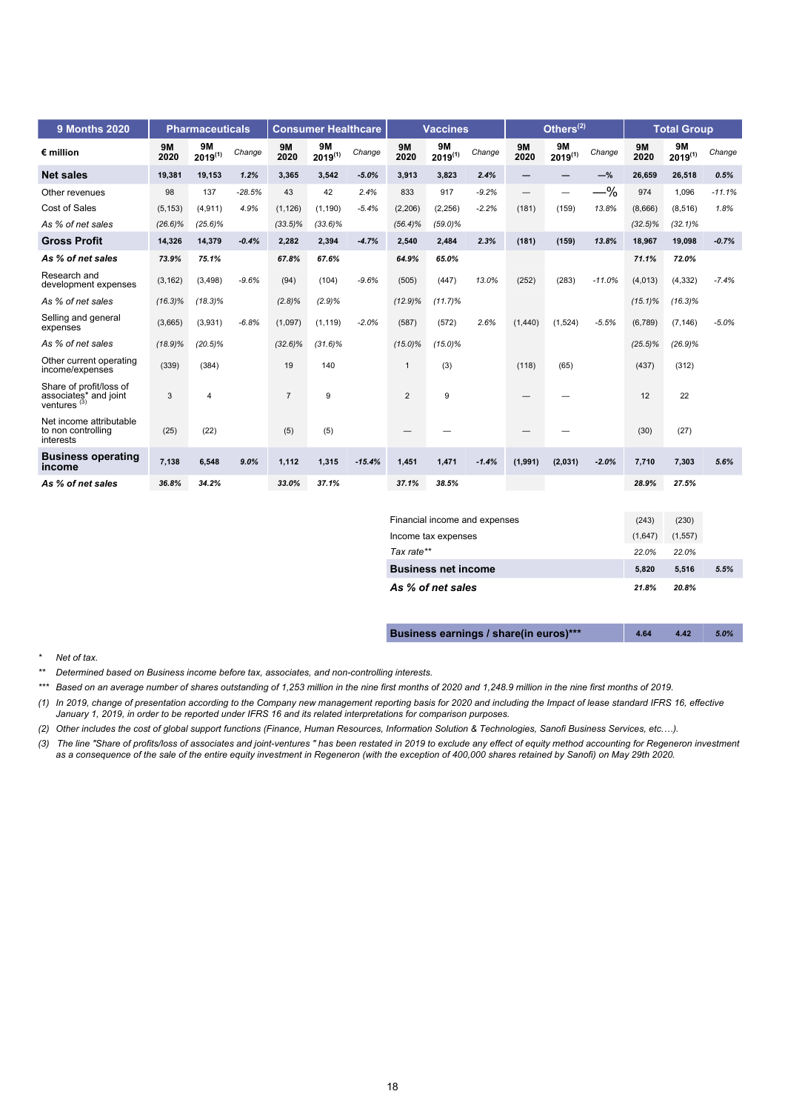| <b>9 Months 2020</b>                                               |                   | <b>Pharmaceuticals</b>    |          |                   | <b>Consumer Healthcare</b> |          |                   | <b>Vaccines</b>           |         |                   | Others $^{(2)}$           |          |                   | <b>Total Group</b>        |          |
|--------------------------------------------------------------------|-------------------|---------------------------|----------|-------------------|----------------------------|----------|-------------------|---------------------------|---------|-------------------|---------------------------|----------|-------------------|---------------------------|----------|
| $\epsilon$ million                                                 | <b>9M</b><br>2020 | <b>9M</b><br>$2019^{(1)}$ | Change   | <b>9M</b><br>2020 | <b>9M</b><br>$2019^{(1)}$  | Change   | <b>9M</b><br>2020 | <b>9M</b><br>$2019^{(1)}$ | Change  | <b>9M</b><br>2020 | <b>9M</b><br>$2019^{(1)}$ | Change   | <b>9M</b><br>2020 | <b>9M</b><br>$2019^{(1)}$ | Change   |
| <b>Net sales</b>                                                   | 19,381            | 19.153                    | 1.2%     | 3,365             | 3,542                      | $-5.0%$  | 3.913             | 3,823                     | 2.4%    | -                 | -                         | $-\%$    | 26,659            | 26,518                    | 0.5%     |
| Other revenues                                                     | 98                | 137                       | $-28.5%$ | 43                | 42                         | 2.4%     | 833               | 917                       | $-9.2%$ | $\qquad \qquad -$ | -                         | $-\%$    | 974               | 1,096                     | $-11.1%$ |
| Cost of Sales                                                      | (5, 153)          | (4, 911)                  | 4.9%     | (1, 126)          | (1, 190)                   | $-5.4%$  | (2, 206)          | (2, 256)                  | $-2.2%$ | (181)             | (159)                     | 13.8%    | (8,666)           | (8,516)                   | 1.8%     |
| As % of net sales                                                  | $(26.6)\%$        | $(25.6)\%$                |          | $(33.5)\%$        | $(33.6)\%$                 |          | $(56.4)\%$        | $(59.0)\%$                |         |                   |                           |          | $(32.5)\%$        | $(32.1)\%$                |          |
| <b>Gross Profit</b>                                                | 14,326            | 14,379                    | $-0.4%$  | 2,282             | 2,394                      | $-4.7%$  | 2,540             | 2,484                     | 2.3%    | (181)             | (159)                     | 13.8%    | 18,967            | 19,098                    | $-0.7%$  |
| As % of net sales                                                  | 73.9%             | 75.1%                     |          | 67.8%             | 67.6%                      |          | 64.9%             | 65.0%                     |         |                   |                           |          | 71.1%             | 72.0%                     |          |
| Research and<br>development expenses                               | (3, 162)          | (3, 498)                  | $-9.6%$  | (94)              | (104)                      | $-9.6%$  | (505)             | (447)                     | 13.0%   | (252)             | (283)                     | $-11.0%$ | (4,013)           | (4, 332)                  | $-7.4%$  |
| As % of net sales                                                  | $(16.3)\%$        | $(18.3)\%$                |          | $(2.8)\%$         | (2.9)%                     |          | $(12.9)\%$        | (11.7)%                   |         |                   |                           |          | $(15.1)\%$        | $(16.3)\%$                |          |
| Selling and general<br>expenses                                    | (3,665)           | (3,931)                   | $-6.8%$  | (1,097)           | (1, 119)                   | $-2.0%$  | (587)             | (572)                     | 2.6%    | (1,440)           | (1,524)                   | $-5.5%$  | (6,789)           | (7, 146)                  | $-5.0%$  |
| As % of net sales                                                  | $(18.9)\%$        | $(20.5)\%$                |          | $(32.6)\%$        | $(31.6)\%$                 |          | $(15.0)\%$        | $(15.0)\%$                |         |                   |                           |          | $(25.5)\%$        | $(26.9)\%$                |          |
| Other current operating<br>income/expenses                         | (339)             | (384)                     |          | 19                | 140                        |          | $\overline{1}$    | (3)                       |         | (118)             | (65)                      |          | (437)             | (312)                     |          |
| Share of profit/loss of<br>associates* and joint<br>ventures $(3)$ | 3                 | $\overline{4}$            |          | $\overline{7}$    | 9                          |          | 2                 | 9                         |         |                   |                           |          | 12                | 22                        |          |
| Net income attributable<br>to non controlling<br>interests         | (25)              | (22)                      |          | (5)               | (5)                        |          |                   |                           |         |                   |                           |          | (30)              | (27)                      |          |
| <b>Business operating</b><br>income                                | 7,138             | 6,548                     | 9.0%     | 1,112             | 1,315                      | $-15.4%$ | 1,451             | 1,471                     | $-1.4%$ | (1,991)           | (2,031)                   | $-2.0%$  | 7,710             | 7,303                     | 5.6%     |
| As % of net sales                                                  | 36.8%             | 34.2%                     |          | 33.0%             | 37.1%                      |          | 37.1%             | 38.5%                     |         |                   |                           |          | 28.9%             | 27.5%                     |          |
|                                                                    |                   |                           |          |                   |                            |          |                   |                           |         |                   |                           |          |                   |                           |          |

| Financial income and expenses | (243)   | (230)    |      |
|-------------------------------|---------|----------|------|
| Income tax expenses           | (1,647) | (1, 557) |      |
| Tax rate**                    | 22.0%   | 22.0%    |      |
| <b>Business net income</b>    | 5.820   | 5.516    | 5.5% |
| As % of net sales             | 21.8%   | 20.8%    |      |

| Business earnings / share(in euros)*** | 4.64 | 4.42 | 5.0% |
|----------------------------------------|------|------|------|
|----------------------------------------|------|------|------|

#### *\* Net of tax.*

*\*\* Determined based on Business income before tax, associates, and non-controlling interests.*

- *\*\*\* Based on an average number of shares outstanding of 1,253 million in the nine first months of 2020 and 1,248.9 million in the nine first months of 2019.*
- *(1) In 2019, change of presentation according to the Company new management reporting basis for 2020 and including the Impact of lease standard IFRS 16, effective January 1, 2019, in order to be reported under IFRS 16 and its related interpretations for comparison purposes.*
- *(2) Other includes the cost of global support functions (Finance, Human Resources, Information Solution & Technologies, Sanofi Business Services, etc.…).*
- *(3) The line "Share of profits/loss of associates and joint-ventures " has been restated in 2019 to exclude any effect of equity method accounting for Regeneron investment as a consequence of the sale of the entire equity investment in Regeneron (with the exception of 400,000 shares retained by Sanofi) on May 29th 2020.*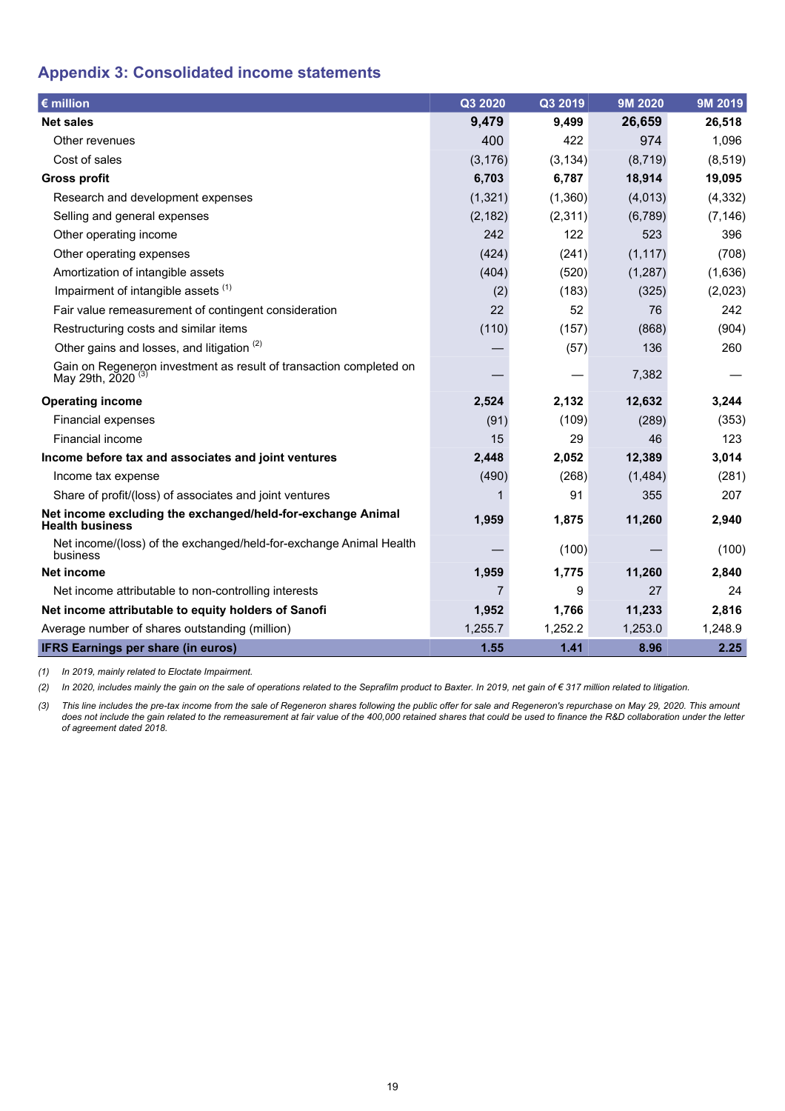# <span id="page-18-0"></span>**Appendix 3: Consolidated income statements**

| $\epsilon$ million                                                                                  | Q3 2020  | Q3 2019  | 9M 2020  | 9M 2019  |
|-----------------------------------------------------------------------------------------------------|----------|----------|----------|----------|
| <b>Net sales</b>                                                                                    | 9,479    | 9,499    | 26,659   | 26,518   |
| Other revenues                                                                                      | 400      | 422      | 974      | 1,096    |
| Cost of sales                                                                                       | (3, 176) | (3, 134) | (8,719)  | (8, 519) |
| <b>Gross profit</b>                                                                                 | 6,703    | 6,787    | 18,914   | 19,095   |
| Research and development expenses                                                                   | (1, 321) | (1,360)  | (4,013)  | (4, 332) |
| Selling and general expenses                                                                        | (2, 182) | (2, 311) | (6,789)  | (7, 146) |
| Other operating income                                                                              | 242      | 122      | 523      | 396      |
| Other operating expenses                                                                            | (424)    | (241)    | (1, 117) | (708)    |
| Amortization of intangible assets                                                                   | (404)    | (520)    | (1,287)  | (1,636)  |
| Impairment of intangible assets (1)                                                                 | (2)      | (183)    | (325)    | (2,023)  |
| Fair value remeasurement of contingent consideration                                                | 22       | 52       | 76       | 242      |
| Restructuring costs and similar items                                                               | (110)    | (157)    | (868)    | (904)    |
| Other gains and losses, and litigation <sup>(2)</sup>                                               |          | (57)     | 136      | 260      |
| Gain on Regeneron investment as result of transaction completed on<br>May 29th, 2020 <sup>(3)</sup> |          |          | 7,382    |          |
| <b>Operating income</b>                                                                             | 2,524    | 2,132    | 12,632   | 3,244    |
| Financial expenses                                                                                  | (91)     | (109)    | (289)    | (353)    |
| <b>Financial income</b>                                                                             | 15       | 29       | 46       | 123      |
| Income before tax and associates and joint ventures                                                 | 2,448    | 2,052    | 12,389   | 3,014    |
| Income tax expense                                                                                  | (490)    | (268)    | (1,484)  | (281)    |
| Share of profit/(loss) of associates and joint ventures                                             |          | 91       | 355      | 207      |
| Net income excluding the exchanged/held-for-exchange Animal<br><b>Health business</b>               | 1,959    | 1,875    | 11,260   | 2,940    |
| Net income/(loss) of the exchanged/held-for-exchange Animal Health<br>business                      |          | (100)    |          | (100)    |
| <b>Net income</b>                                                                                   | 1,959    | 1,775    | 11,260   | 2,840    |
| Net income attributable to non-controlling interests                                                | 7        | 9        | 27       | 24       |
| Net income attributable to equity holders of Sanofi                                                 | 1,952    | 1,766    | 11,233   | 2,816    |
| Average number of shares outstanding (million)                                                      | 1,255.7  | 1,252.2  | 1,253.0  | 1,248.9  |
| <b>IFRS Earnings per share (in euros)</b>                                                           | 1.55     | 1.41     | 8.96     | 2.25     |

*(1) In 2019, mainly related to Eloctate Impairment.*

*(2) In 2020, includes mainly the gain on the sale of operations related to the Seprafilm product to Baxter. In 2019, net gain of € 317 million related to litigation.*

*(3) This line includes the pre-tax income from the sale of Regeneron shares following the public offer for sale and Regeneron's repurchase on May 29, 2020. This amount*  does not include the gain related to the remeasurement at fair value of the 400,000 retained shares that could be used to finance the R&D collaboration under the letter *of agreement dated 2018.*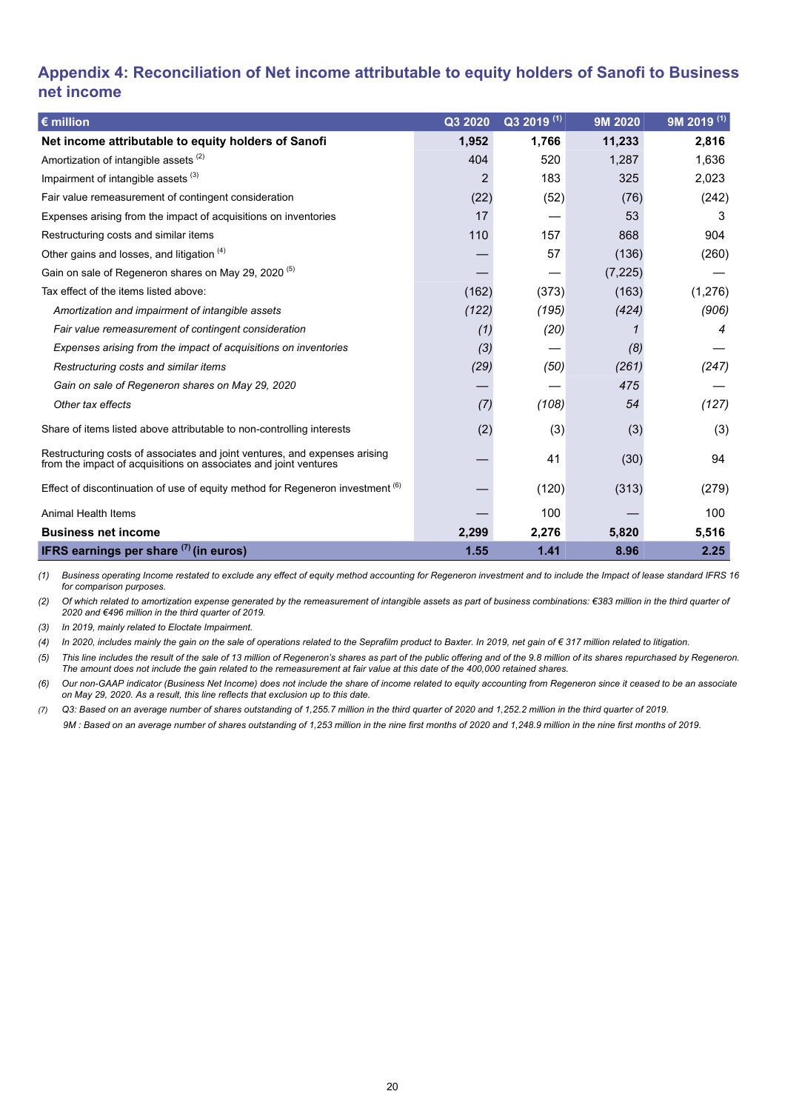# <span id="page-19-0"></span>**Appendix 4: Reconciliation of Net income attributable to equity holders of Sanofi to Business net income**

| $\epsilon$ million                                                                                                                             | Q3 2020        | Q3 2019 <sup>(1)</sup> | 9M 2020  | 9M 2019 <sup>(1)</sup> |
|------------------------------------------------------------------------------------------------------------------------------------------------|----------------|------------------------|----------|------------------------|
| Net income attributable to equity holders of Sanofi                                                                                            | 1,952          | 1,766                  | 11,233   | 2,816                  |
| Amortization of intangible assets <sup>(2)</sup>                                                                                               | 404            | 520                    | 1,287    | 1,636                  |
| Impairment of intangible assets <sup>(3)</sup>                                                                                                 | $\overline{2}$ | 183                    | 325      | 2,023                  |
| Fair value remeasurement of contingent consideration                                                                                           | (22)           | (52)                   | (76)     | (242)                  |
| Expenses arising from the impact of acquisitions on inventories                                                                                | 17             |                        | 53       | 3                      |
| Restructuring costs and similar items                                                                                                          | 110            | 157                    | 868      | 904                    |
| Other gains and losses, and litigation (4)                                                                                                     |                | 57                     | (136)    | (260)                  |
| Gain on sale of Regeneron shares on May 29, 2020 <sup>(5)</sup>                                                                                |                |                        | (7, 225) |                        |
| Tax effect of the items listed above:                                                                                                          | (162)          | (373)                  | (163)    | (1, 276)               |
| Amortization and impairment of intangible assets                                                                                               | (122)          | (195)                  | (424)    | (906)                  |
| Fair value remeasurement of contingent consideration                                                                                           | (1)            | (20)                   |          | 4                      |
| Expenses arising from the impact of acquisitions on inventories                                                                                | (3)            |                        | (8)      |                        |
| Restructuring costs and similar items                                                                                                          | (29)           | (50)                   | (261)    | (247)                  |
| Gain on sale of Regeneron shares on May 29, 2020                                                                                               |                |                        | 475      |                        |
| Other tax effects                                                                                                                              | (7)            | (108)                  | 54       | (127)                  |
| Share of items listed above attributable to non-controlling interests                                                                          | (2)            | (3)                    | (3)      | (3)                    |
| Restructuring costs of associates and joint ventures, and expenses arising<br>from the impact of acquisitions on associates and joint ventures |                | 41                     | (30)     | 94                     |
| Effect of discontinuation of use of equity method for Regeneron investment (6)                                                                 |                | (120)                  | (313)    | (279)                  |
| <b>Animal Health Items</b>                                                                                                                     |                | 100                    |          | 100                    |
| <b>Business net income</b>                                                                                                                     | 2,299          | 2,276                  | 5,820    | 5,516                  |
| <b>IFRS earnings per share <math>(7)</math> (in euros)</b>                                                                                     | 1.55           | 1.41                   | 8.96     | 2.25                   |

*(1) Business operating Income restated to exclude any effect of equity method accounting for Regeneron investment and to include the Impact of lease standard IFRS 16 for comparison purposes.*

*(2) Of which related to amortization expense generated by the remeasurement of intangible assets as part of business combinations: €383 million in the third quarter of 2020 and €496 million in the third quarter of 2019.*

*(3) In 2019, mainly related to Eloctate Impairment.*

*(4) In 2020, includes mainly the gain on the sale of operations related to the Seprafilm product to Baxter. In 2019, net gain of € 317 million related to litigation.*

*(5) This line includes the result of the sale of 13 million of Regeneron's shares as part of the public offering and of the 9.8 million of its shares repurchased by Regeneron. The amount does not include the gain related to the remeasurement at fair value at this date of the 400,000 retained shares.*

*(6) Our non-GAAP indicator (Business Net Income) does not include the share of income related to equity accounting from Regeneron since it ceased to be an associate on May 29, 2020. As a result, this line reflects that exclusion up to this date.*

*(7) Q3: Based on an average number of shares outstanding of 1,255.7 million in the third quarter of 2020 and 1,252.2 million in the third quarter of 2019.*

 *9M : Based on an average number of shares outstanding of 1,253 million in the nine first months of 2020 and 1,248.9 million in the nine first months of 2019.*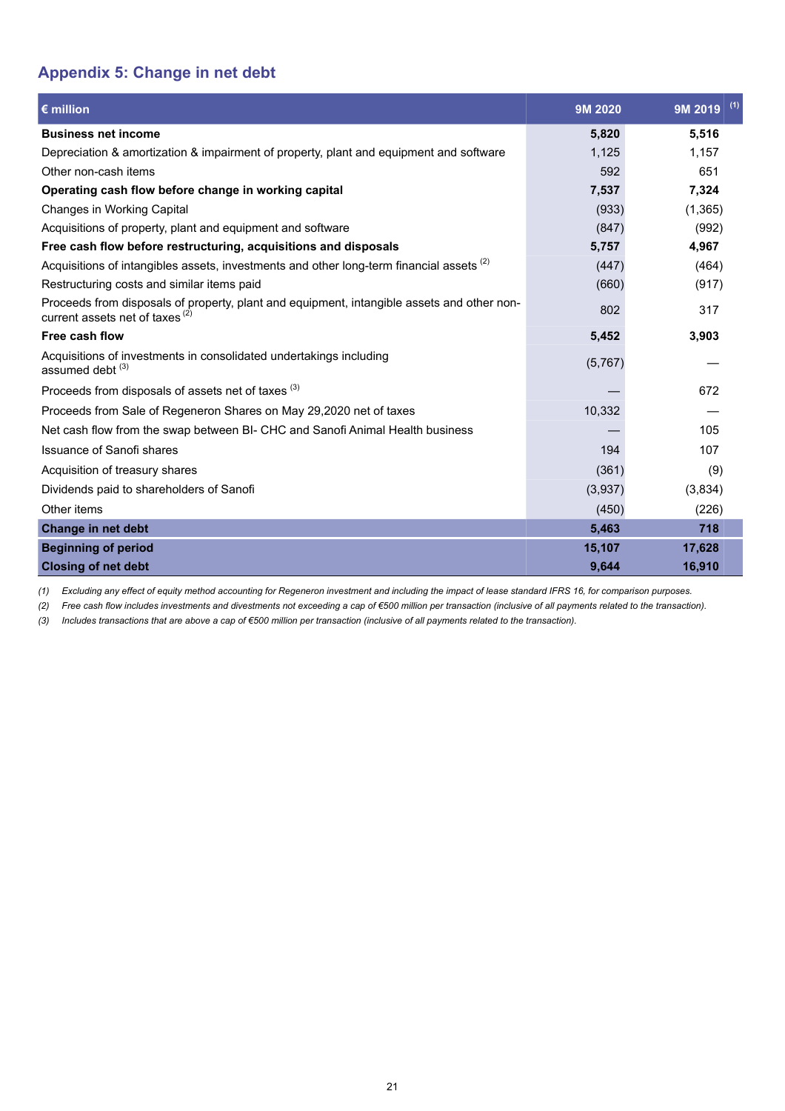# <span id="page-20-0"></span>**Appendix 5: Change in net debt**

| $\epsilon$ million                                                                                                                       | 9M 2020 | (1)<br>9M 2019 |
|------------------------------------------------------------------------------------------------------------------------------------------|---------|----------------|
| <b>Business net income</b>                                                                                                               | 5,820   | 5,516          |
| Depreciation & amortization & impairment of property, plant and equipment and software                                                   | 1,125   | 1,157          |
| Other non-cash items                                                                                                                     | 592     | 651            |
| Operating cash flow before change in working capital                                                                                     | 7,537   | 7,324          |
| Changes in Working Capital                                                                                                               | (933)   | (1,365)        |
| Acquisitions of property, plant and equipment and software                                                                               | (847)   | (992)          |
| Free cash flow before restructuring, acquisitions and disposals                                                                          | 5,757   | 4,967          |
| Acquisitions of intangibles assets, investments and other long-term financial assets (2)                                                 | (447)   | (464)          |
| Restructuring costs and similar items paid                                                                                               | (660)   | (917)          |
| Proceeds from disposals of property, plant and equipment, intangible assets and other non-<br>current assets net of taxes <sup>(2)</sup> | 802     | 317            |
| Free cash flow                                                                                                                           | 5,452   | 3,903          |
| Acquisitions of investments in consolidated undertakings including<br>assumed debt <sup>(3)</sup>                                        | (5,767) |                |
| Proceeds from disposals of assets net of taxes <sup>(3)</sup>                                                                            |         | 672            |
| Proceeds from Sale of Regeneron Shares on May 29,2020 net of taxes                                                                       | 10,332  |                |
| Net cash flow from the swap between BI- CHC and Sanofi Animal Health business                                                            |         | 105            |
| <b>Issuance of Sanofi shares</b>                                                                                                         | 194     | 107            |
| Acquisition of treasury shares                                                                                                           | (361)   | (9)            |
| Dividends paid to shareholders of Sanofi                                                                                                 | (3,937) | (3,834)        |
| Other items                                                                                                                              | (450)   | (226)          |
| Change in net debt                                                                                                                       | 5.463   | 718            |
| <b>Beginning of period</b>                                                                                                               | 15,107  | 17,628         |
| <b>Closing of net debt</b>                                                                                                               | 9,644   | 16,910         |

*(1) Excluding any effect of equity method accounting for Regeneron investment and including the impact of lease standard IFRS 16, for comparison purposes.*

*(2) Free cash flow includes investments and divestments not exceeding a cap of €500 million per transaction (inclusive of all payments related to the transaction).*

*(3) Includes transactions that are above a cap of €500 million per transaction (inclusive of all payments related to the transaction).*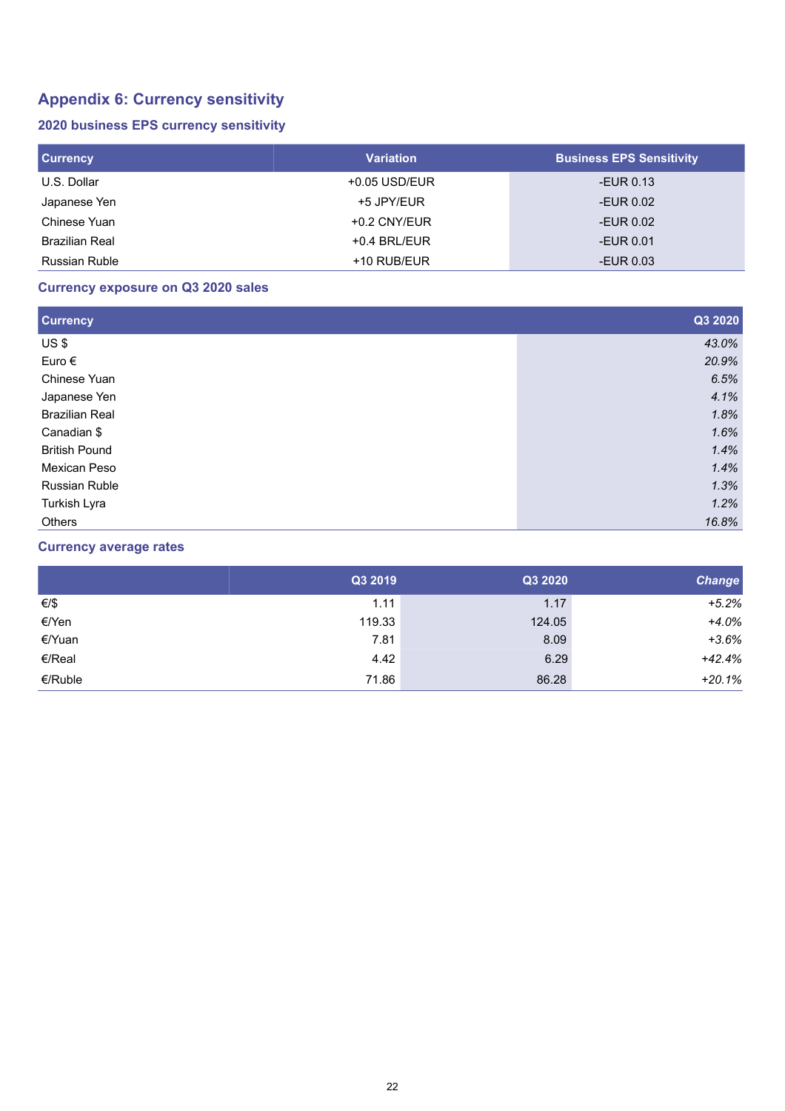# **Appendix 6: Currency sensitivity**

### **2020 business EPS currency sensitivity**

| <b>Currency</b>       | <b>Variation</b> | <b>Business EPS Sensitivity</b> |
|-----------------------|------------------|---------------------------------|
| U.S. Dollar           | $+0.05$ USD/EUR  | -EUR 0.13                       |
| Japanese Yen          | +5 JPY/EUR       | -EUR 0.02                       |
| Chinese Yuan          | $+0.2$ CNY/EUR   | -EUR 0.02                       |
| <b>Brazilian Real</b> | $+0.4$ BRL/EUR   | -EUR $0.01$                     |
| <b>Russian Ruble</b>  | $+10$ RUB/EUR    | -EUR $0.03$                     |

## **Currency exposure on Q3 2020 sales**

| <b>Currency</b>       | Q3 2020 |
|-----------------------|---------|
| US\$                  | 43.0%   |
| Euro $\epsilon$       | 20.9%   |
| Chinese Yuan          | 6.5%    |
| Japanese Yen          | 4.1%    |
| <b>Brazilian Real</b> | 1.8%    |
| Canadian \$           | 1.6%    |
| <b>British Pound</b>  | 1.4%    |
| Mexican Peso          | 1.4%    |
| <b>Russian Ruble</b>  | 1.3%    |
| Turkish Lyra          | 1.2%    |
| <b>Others</b>         | 16.8%   |

## **Currency average rates**

|         | Q3 2019 | Q3 2020 | <b>Change</b> |
|---------|---------|---------|---------------|
| €/\$    | 1.11    | 1.17    | $+5.2%$       |
| €/Yen   | 119.33  | 124.05  | $+4.0%$       |
| €/Yuan  | 7.81    | 8.09    | $+3.6%$       |
| €/Real  | 4.42    | 6.29    | $+42.4%$      |
| €/Ruble | 71.86   | 86.28   | $+20.1%$      |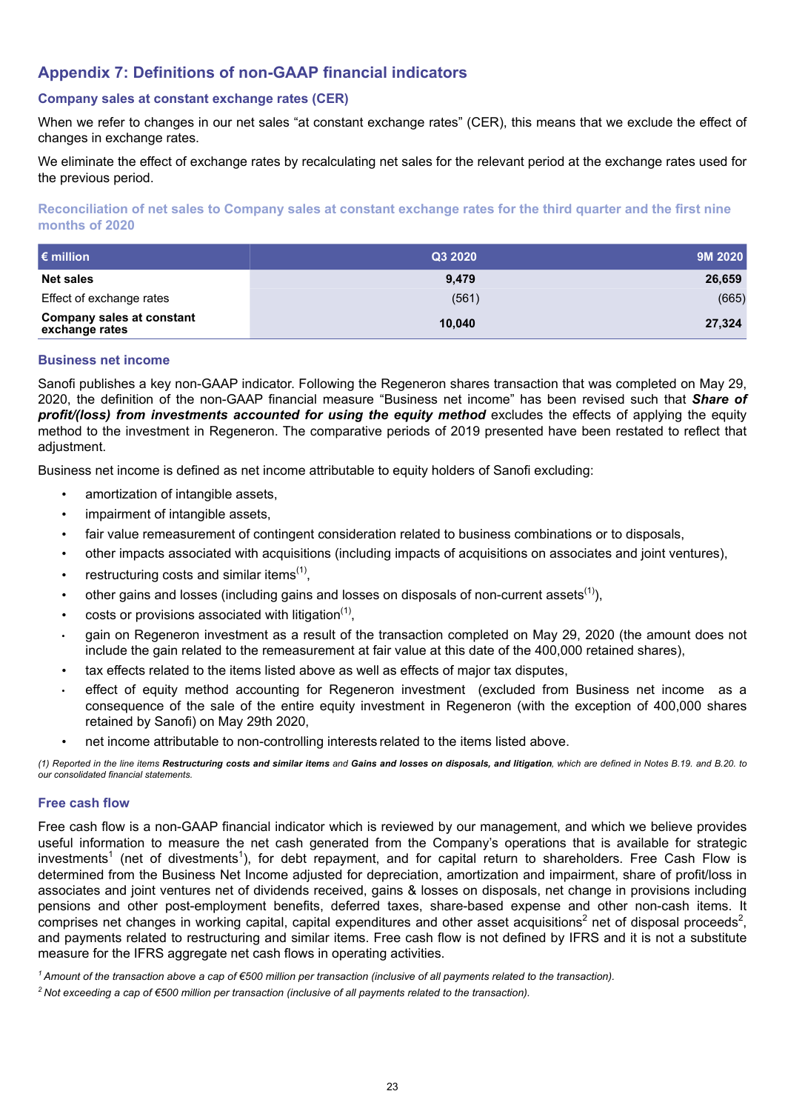# <span id="page-22-0"></span>**Appendix 7: Definitions of non-GAAP financial indicators**

#### **Company sales at constant exchange rates (CER)**

When we refer to changes in our net sales "at constant exchange rates" (CER), this means that we exclude the effect of changes in exchange rates.

We eliminate the effect of exchange rates by recalculating net sales for the relevant period at the exchange rates used for the previous period.

**Reconciliation of net sales to Company sales at constant exchange rates for the third quarter and the first nine months of 2020**

| $\epsilon$ million                                 | Q3 2020 | 9M 2020 |
|----------------------------------------------------|---------|---------|
| <b>Net sales</b>                                   | 9.479   | 26,659  |
| Effect of exchange rates                           | (561)   | (665)   |
| <b>Company sales at constant</b><br>exchange rates | 10.040  | 27,324  |

#### **Business net income**

Sanofi publishes a key non-GAAP indicator. Following the Regeneron shares transaction that was completed on May 29, 2020, the definition of the non-GAAP financial measure "Business net income" has been revised such that *Share of profit/(loss) from investments accounted for using the equity method* excludes the effects of applying the equity method to the investment in Regeneron. The comparative periods of 2019 presented have been restated to reflect that adjustment.

Business net income is defined as net income attributable to equity holders of Sanofi excluding:

- amortization of intangible assets,
- impairment of intangible assets,
- fair value remeasurement of contingent consideration related to business combinations or to disposals,
- other impacts associated with acquisitions (including impacts of acquisitions on associates and joint ventures),
- restructuring costs and similar items $(1)$ ,
- other gains and losses (including gains and losses on disposals of non-current assets<sup>(1)</sup>),
- $\bullet$  costs or provisions associated with litigation<sup>(1)</sup>,
- *•* gain on Regeneron investment as a result of the transaction completed on May 29, 2020 (the amount does not include the gain related to the remeasurement at fair value at this date of the 400,000 retained shares),
- tax effects related to the items listed above as well as effects of major tax disputes,
- *•* effect of equity method accounting for Regeneron investment (excluded from Business net income as a consequence of the sale of the entire equity investment in Regeneron (with the exception of 400,000 shares retained by Sanofi) on May 29th 2020,
- net income attributable to non-controlling interests related to the items listed above.

*(1) Reported in the line items Restructuring costs and similar items and Gains and losses on disposals, and litigation, which are defined in Notes B.19. and B.20. to our consolidated financial statements.*

#### **Free cash flow**

Free cash flow is a non-GAAP financial indicator which is reviewed by our management, and which we believe provides useful information to measure the net cash generated from the Company's operations that is available for strategic investments<sup>1</sup> (net of divestments<sup>1</sup>), for debt repayment, and for capital return to shareholders. Free Cash Flow is determined from the Business Net Income adjusted for depreciation, amortization and impairment, share of profit/loss in associates and joint ventures net of dividends received, gains & losses on disposals, net change in provisions including pensions and other post-employment benefits, deferred taxes, share-based expense and other non-cash items. It comprises net changes in working capital, capital expenditures and other asset acquisitions<sup>2</sup> net of disposal proceeds<sup>2</sup>, and payments related to restructuring and similar items. Free cash flow is not defined by IFRS and it is not a substitute measure for the IFRS aggregate net cash flows in operating activities.

*<sup>1</sup>Amount of the transaction above a cap of €500 million per transaction (inclusive of all payments related to the transaction).*

*<sup>2</sup>Not exceeding a cap of €500 million per transaction (inclusive of all payments related to the transaction).*